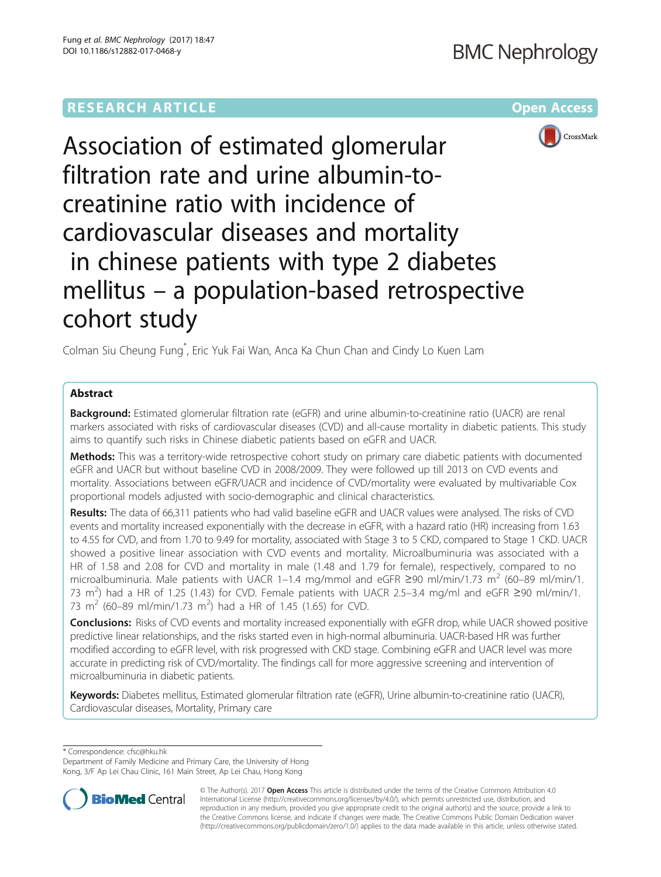# **RESEARCH ARTICLE Example 2014 12:30 The Contract of Contract ACCESS**



Association of estimated glomerular filtration rate and urine albumin-tocreatinine ratio with incidence of cardiovascular diseases and mortality in chinese patients with type 2 diabetes mellitus – a population-based retrospective cohort study

Colman Siu Cheung Fung\* , Eric Yuk Fai Wan, Anca Ka Chun Chan and Cindy Lo Kuen Lam

## Abstract

**Background:** Estimated glomerular filtration rate (eGFR) and urine albumin-to-creatinine ratio (UACR) are renal markers associated with risks of cardiovascular diseases (CVD) and all-cause mortality in diabetic patients. This study aims to quantify such risks in Chinese diabetic patients based on eGFR and UACR.

Methods: This was a territory-wide retrospective cohort study on primary care diabetic patients with documented eGFR and UACR but without baseline CVD in 2008/2009. They were followed up till 2013 on CVD events and mortality. Associations between eGFR/UACR and incidence of CVD/mortality were evaluated by multivariable Cox proportional models adjusted with socio-demographic and clinical characteristics.

Results: The data of 66,311 patients who had valid baseline eGFR and UACR values were analysed. The risks of CVD events and mortality increased exponentially with the decrease in eGFR, with a hazard ratio (HR) increasing from 1.63 to 4.55 for CVD, and from 1.70 to 9.49 for mortality, associated with Stage 3 to 5 CKD, compared to Stage 1 CKD. UACR showed a positive linear association with CVD events and mortality. Microalbuminuria was associated with a HR of 1.58 and 2.08 for CVD and mortality in male (1.48 and 1.79 for female), respectively, compared to no microalbuminuria. Male patients with UACR 1–1.4 mg/mmol and eGFR ≥90 ml/min/1.73 m<sup>2</sup> (60–89 ml/min/1. 73 m<sup>2</sup>) had a HR of 1.25 (1.43) for CVD. Female patients with UACR 2.5-3.4 mg/ml and eGFR ≥90 ml/min/1. 73 m<sup>2</sup> (60–89 ml/min/1.73 m<sup>2</sup>) had a HR of 1.45 (1.65) for CVD.

Conclusions: Risks of CVD events and mortality increased exponentially with eGFR drop, while UACR showed positive predictive linear relationships, and the risks started even in high-normal albuminuria. UACR-based HR was further modified according to eGFR level, with risk progressed with CKD stage. Combining eGFR and UACR level was more accurate in predicting risk of CVD/mortality. The findings call for more aggressive screening and intervention of microalbuminuria in diabetic patients.

Keywords: Diabetes mellitus, Estimated glomerular filtration rate (eGFR), Urine albumin-to-creatinine ratio (UACR), Cardiovascular diseases, Mortality, Primary care

\* Correspondence: [cfsc@hku.hk](mailto:cfsc@hku.hk)

Department of Family Medicine and Primary Care, the University of Hong Kong, 3/F Ap Lei Chau Clinic, 161 Main Street, Ap Lei Chau, Hong Kong



© The Author(s). 2017 **Open Access** This article is distributed under the terms of the Creative Commons Attribution 4.0 International License [\(http://creativecommons.org/licenses/by/4.0/](http://creativecommons.org/licenses/by/4.0/)), which permits unrestricted use, distribution, and reproduction in any medium, provided you give appropriate credit to the original author(s) and the source, provide a link to the Creative Commons license, and indicate if changes were made. The Creative Commons Public Domain Dedication waiver [\(http://creativecommons.org/publicdomain/zero/1.0/](http://creativecommons.org/publicdomain/zero/1.0/)) applies to the data made available in this article, unless otherwise stated.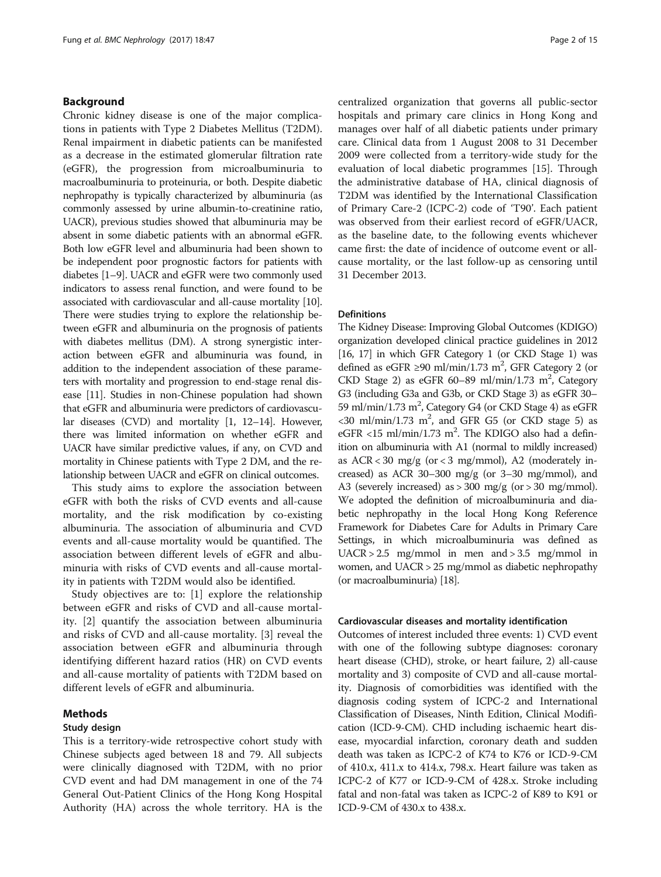## Background

Chronic kidney disease is one of the major complications in patients with Type 2 Diabetes Mellitus (T2DM). Renal impairment in diabetic patients can be manifested as a decrease in the estimated glomerular filtration rate (eGFR), the progression from microalbuminuria to macroalbuminuria to proteinuria, or both. Despite diabetic nephropathy is typically characterized by albuminuria (as commonly assessed by urine albumin-to-creatinine ratio, UACR), previous studies showed that albuminuria may be absent in some diabetic patients with an abnormal eGFR. Both low eGFR level and albuminuria had been shown to be independent poor prognostic factors for patients with diabetes [\[1](#page-13-0)–[9\]](#page-13-0). UACR and eGFR were two commonly used indicators to assess renal function, and were found to be associated with cardiovascular and all-cause mortality [[10](#page-13-0)]. There were studies trying to explore the relationship between eGFR and albuminuria on the prognosis of patients with diabetes mellitus (DM). A strong synergistic interaction between eGFR and albuminuria was found, in addition to the independent association of these parameters with mortality and progression to end-stage renal disease [[11](#page-13-0)]. Studies in non-Chinese population had shown that eGFR and albuminuria were predictors of cardiovascular diseases (CVD) and mortality [[1, 12](#page-13-0)–[14\]](#page-13-0). However, there was limited information on whether eGFR and UACR have similar predictive values, if any, on CVD and mortality in Chinese patients with Type 2 DM, and the relationship between UACR and eGFR on clinical outcomes.

This study aims to explore the association between eGFR with both the risks of CVD events and all-cause mortality, and the risk modification by co-existing albuminuria. The association of albuminuria and CVD events and all-cause mortality would be quantified. The association between different levels of eGFR and albuminuria with risks of CVD events and all-cause mortality in patients with T2DM would also be identified.

Study objectives are to: [[1\]](#page-13-0) explore the relationship between eGFR and risks of CVD and all-cause mortality. [[2\]](#page-13-0) quantify the association between albuminuria and risks of CVD and all-cause mortality. [\[3](#page-13-0)] reveal the association between eGFR and albuminuria through identifying different hazard ratios (HR) on CVD events and all-cause mortality of patients with T2DM based on different levels of eGFR and albuminuria.

## Methods

## Study design

This is a territory-wide retrospective cohort study with Chinese subjects aged between 18 and 79. All subjects were clinically diagnosed with T2DM, with no prior CVD event and had DM management in one of the 74 General Out-Patient Clinics of the Hong Kong Hospital Authority (HA) across the whole territory. HA is the centralized organization that governs all public-sector hospitals and primary care clinics in Hong Kong and manages over half of all diabetic patients under primary care. Clinical data from 1 August 2008 to 31 December 2009 were collected from a territory-wide study for the evaluation of local diabetic programmes [[15\]](#page-13-0). Through the administrative database of HA, clinical diagnosis of T2DM was identified by the International Classification of Primary Care-2 (ICPC-2) code of 'T90'. Each patient was observed from their earliest record of eGFR/UACR, as the baseline date, to the following events whichever came first: the date of incidence of outcome event or allcause mortality, or the last follow-up as censoring until 31 December 2013.

## **Definitions**

The Kidney Disease: Improving Global Outcomes (KDIGO) organization developed clinical practice guidelines in 2012 [[16](#page-13-0), [17\]](#page-13-0) in which GFR Category 1 (or CKD Stage 1) was defined as eGFR ≥90 ml/min/1.73 m<sup>2</sup>, GFR Category 2 (or CKD Stage 2) as eGFR 60-89 ml/min/1.73 m<sup>2</sup>, Category G3 (including G3a and G3b, or CKD Stage 3) as eGFR 30– 59 ml/min/1.73 m<sup>2</sup>, Category G4 (or CKD Stage 4) as eGFR  $<$ 30 ml/min/1.73 m<sup>2</sup>, and GFR G5 (or CKD stage 5) as eGFR <15 ml/min/1.73 m<sup>2</sup>. The KDIGO also had a definition on albuminuria with A1 (normal to mildly increased) as ACR < 30 mg/g (or < 3 mg/mmol), A2 (moderately increased) as ACR 30–300 mg/g (or 3–30 mg/mmol), and A3 (severely increased) as > 300 mg/g (or > 30 mg/mmol). We adopted the definition of microalbuminuria and diabetic nephropathy in the local Hong Kong Reference Framework for Diabetes Care for Adults in Primary Care Settings, in which microalbuminuria was defined as  $UACR > 2.5$  mg/mmol in men and  $> 3.5$  mg/mmol in women, and UACR > 25 mg/mmol as diabetic nephropathy (or macroalbuminuria) [[18](#page-13-0)].

#### Cardiovascular diseases and mortality identification

Outcomes of interest included three events: 1) CVD event with one of the following subtype diagnoses: coronary heart disease (CHD), stroke, or heart failure, 2) all-cause mortality and 3) composite of CVD and all-cause mortality. Diagnosis of comorbidities was identified with the diagnosis coding system of ICPC-2 and International Classification of Diseases, Ninth Edition, Clinical Modification (ICD-9-CM). CHD including ischaemic heart disease, myocardial infarction, coronary death and sudden death was taken as ICPC-2 of K74 to K76 or ICD-9-CM of 410.x, 411.x to 414.x, 798.x. Heart failure was taken as ICPC-2 of K77 or ICD-9-CM of 428.x. Stroke including fatal and non-fatal was taken as ICPC-2 of K89 to K91 or ICD-9-CM of 430.x to 438.x.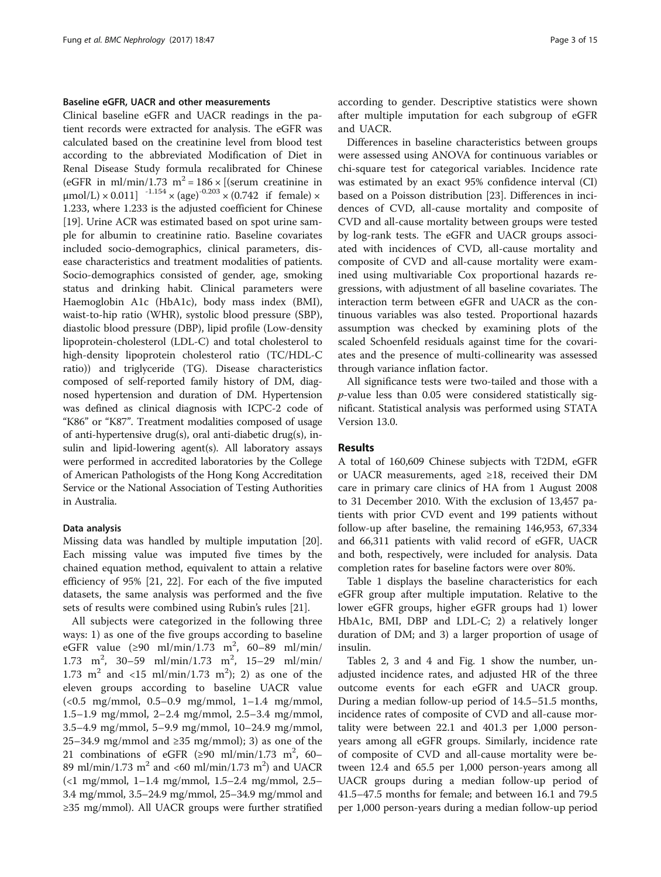### Baseline eGFR, UACR and other measurements

Clinical baseline eGFR and UACR readings in the patient records were extracted for analysis. The eGFR was calculated based on the creatinine level from blood test according to the abbreviated Modification of Diet in Renal Disease Study formula recalibrated for Chinese (eGFR in ml/min/1.73 m<sup>2</sup> = 186 × [(serum creatinine in  $\mu$ mol/L) × 0.011]  $^{-1.154}$  × (age)<sup>-0.203</sup> × (0.742 if female) × 1.233, where 1.233 is the adjusted coefficient for Chinese [[19\]](#page-13-0). Urine ACR was estimated based on spot urine sample for albumin to creatinine ratio. Baseline covariates included socio-demographics, clinical parameters, disease characteristics and treatment modalities of patients. Socio-demographics consisted of gender, age, smoking status and drinking habit. Clinical parameters were Haemoglobin A1c (HbA1c), body mass index (BMI), waist-to-hip ratio (WHR), systolic blood pressure (SBP), diastolic blood pressure (DBP), lipid profile (Low-density lipoprotein-cholesterol (LDL-C) and total cholesterol to high-density lipoprotein cholesterol ratio (TC/HDL-C ratio)) and triglyceride (TG). Disease characteristics composed of self-reported family history of DM, diagnosed hypertension and duration of DM. Hypertension was defined as clinical diagnosis with ICPC-2 code of "K86" or "K87". Treatment modalities composed of usage of anti-hypertensive drug(s), oral anti-diabetic drug(s), insulin and lipid-lowering agent(s). All laboratory assays were performed in accredited laboratories by the College of American Pathologists of the Hong Kong Accreditation Service or the National Association of Testing Authorities in Australia.

## Data analysis

Missing data was handled by multiple imputation [\[20](#page-13-0)]. Each missing value was imputed five times by the chained equation method, equivalent to attain a relative efficiency of 95% [\[21](#page-13-0), [22](#page-13-0)]. For each of the five imputed datasets, the same analysis was performed and the five sets of results were combined using Rubin's rules [\[21](#page-13-0)].

All subjects were categorized in the following three ways: 1) as one of the five groups according to baseline eGFR value  $(290 \text{ ml/min}/1.73 \text{ m}^2, 60-89 \text{ ml/min}/1.73)$ 1.73 m<sup>2</sup>, 30–59 ml/min/1.73 m<sup>2</sup>, 15–29 ml/min/ 1.73 m<sup>2</sup> and <15 ml/min/1.73 m<sup>2</sup>); 2) as one of the eleven groups according to baseline UACR value (<0.5 mg/mmol, 0.5–0.9 mg/mmol, 1–1.4 mg/mmol, 1.5–1.9 mg/mmol, 2–2.4 mg/mmol, 2.5–3.4 mg/mmol, 3.5–4.9 mg/mmol, 5–9.9 mg/mmol, 10–24.9 mg/mmol, 25–34.9 mg/mmol and ≥35 mg/mmol); 3) as one of the 21 combinations of eGFR  $(\geq 90 \text{ ml/min}/1.73 \text{ m}^2, 60-$ 89 ml/min/1.73 m<sup>2</sup> and <60 ml/min/1.73 m<sup>2</sup>) and UACR (<1 mg/mmol, 1–1.4 mg/mmol, 1.5–2.4 mg/mmol, 2.5– 3.4 mg/mmol, 3.5–24.9 mg/mmol, 25–34.9 mg/mmol and ≥35 mg/mmol). All UACR groups were further stratified according to gender. Descriptive statistics were shown after multiple imputation for each subgroup of eGFR and UACR.

Differences in baseline characteristics between groups were assessed using ANOVA for continuous variables or chi-square test for categorical variables. Incidence rate was estimated by an exact 95% confidence interval (CI) based on a Poisson distribution [\[23\]](#page-14-0). Differences in incidences of CVD, all-cause mortality and composite of CVD and all-cause mortality between groups were tested by log-rank tests. The eGFR and UACR groups associated with incidences of CVD, all-cause mortality and composite of CVD and all-cause mortality were examined using multivariable Cox proportional hazards regressions, with adjustment of all baseline covariates. The interaction term between eGFR and UACR as the continuous variables was also tested. Proportional hazards assumption was checked by examining plots of the scaled Schoenfeld residuals against time for the covariates and the presence of multi-collinearity was assessed through variance inflation factor.

All significance tests were two-tailed and those with a p-value less than 0.05 were considered statistically significant. Statistical analysis was performed using STATA Version 13.0.

## Results

A total of 160,609 Chinese subjects with T2DM, eGFR or UACR measurements, aged ≥18, received their DM care in primary care clinics of HA from 1 August 2008 to 31 December 2010. With the exclusion of 13,457 patients with prior CVD event and 199 patients without follow-up after baseline, the remaining 146,953, 67,334 and 66,311 patients with valid record of eGFR, UACR and both, respectively, were included for analysis. Data completion rates for baseline factors were over 80%.

Table [1](#page-3-0) displays the baseline characteristics for each eGFR group after multiple imputation. Relative to the lower eGFR groups, higher eGFR groups had 1) lower HbA1c, BMI, DBP and LDL-C; 2) a relatively longer duration of DM; and 3) a larger proportion of usage of insulin.

Tables [2](#page-5-0), [3](#page-6-0) and [4](#page-8-0) and Fig. [1](#page-10-0) show the number, unadjusted incidence rates, and adjusted HR of the three outcome events for each eGFR and UACR group. During a median follow-up period of 14.5–51.5 months, incidence rates of composite of CVD and all-cause mortality were between 22.1 and 401.3 per 1,000 personyears among all eGFR groups. Similarly, incidence rate of composite of CVD and all-cause mortality were between 12.4 and 65.5 per 1,000 person-years among all UACR groups during a median follow-up period of 41.5–47.5 months for female; and between 16.1 and 79.5 per 1,000 person-years during a median follow-up period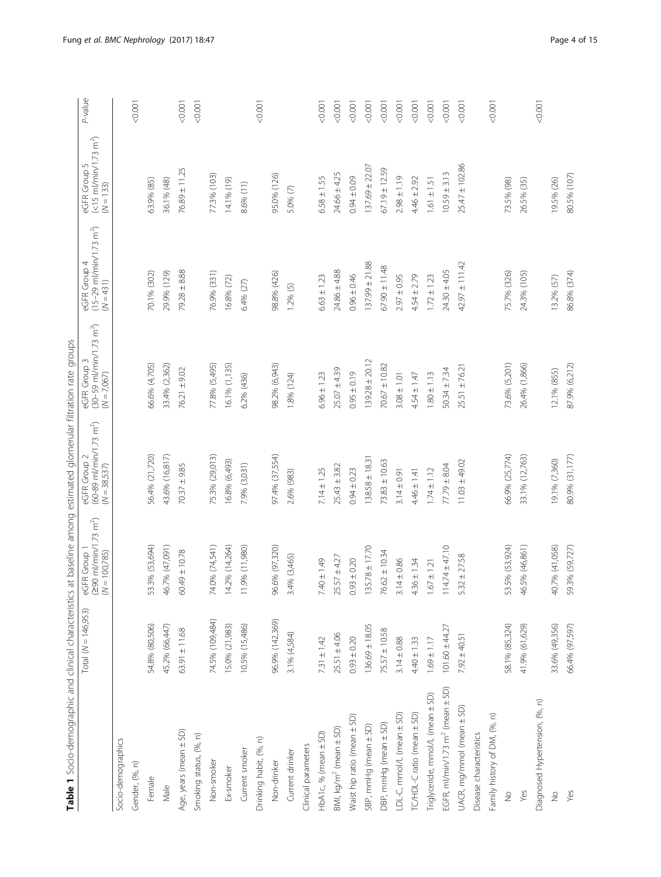<span id="page-3-0"></span>

| Table 1 Socio-demographic and clinical characteristics at baseline among estimated glomerular filtration rate groups |                       |                                                                       |                                                                     |                                                                                    |                                                                              |                                                                   |         |
|----------------------------------------------------------------------------------------------------------------------|-----------------------|-----------------------------------------------------------------------|---------------------------------------------------------------------|------------------------------------------------------------------------------------|------------------------------------------------------------------------------|-------------------------------------------------------------------|---------|
|                                                                                                                      | Total $(N = 146,953)$ | $(290 \text{ m/min}/1.73 \text{ m}^2)$<br>(N = 100,785)<br>eGFR Group | eGFR Group 2<br>(60-89 ml/min/1.73 m <sup>2</sup> )<br>(N = 38,537) | $(30 - 59 \text{ m} / \text{min}/1.73 \text{ m}^2)$<br>eGFR Group<br>$(N = 7,067)$ | $(15-29 \text{ m}$ /min/1.73 m <sup>2</sup> )<br>eGFR Group 4<br>$(N = 431)$ | $(<15$ m/min/1.73 m <sup>2</sup> )<br>eGFR Group 5<br>$(N = 133)$ | P-value |
| Socio-demographics                                                                                                   |                       |                                                                       |                                                                     |                                                                                    |                                                                              |                                                                   |         |
| Gender, (%, n)                                                                                                       |                       |                                                                       |                                                                     |                                                                                    |                                                                              |                                                                   | 0000    |
| Female                                                                                                               | 54.8% (80,506)        | 53.3% (53,694)                                                        | 56.4% (21,720)                                                      | 66.6% (4,705)                                                                      | 70.1% (302)                                                                  | 63.9% (85)                                                        |         |
| Male                                                                                                                 | 45.2% (66,447)        | 46.7% (47,091)                                                        | 43.6% (16,817)                                                      | 33.4% (2,362)                                                                      | 29.9% (129)                                                                  | 36.1% (48)                                                        |         |
| Age, years (mean ± SD)                                                                                               | $63.91 \pm 11.68$     | $60.49 \pm 10.78$                                                     | $70.37 \pm 9.85$                                                    | $76.21 \pm 9.02$                                                                   | $79.28 \pm 8.88$                                                             | 76.89 ± 11.25                                                     | 10000   |
| Smoking status, (%, n)                                                                                               |                       |                                                                       |                                                                     |                                                                                    |                                                                              |                                                                   | 0.001   |
| Non-smoker                                                                                                           | 74.5% (109,484)       | 74.0% (74,541)                                                        | 75.3% (29,013)                                                      | 77.8% (5,495)                                                                      | 76.9% (331)                                                                  | 77.3% (103)                                                       |         |
| Ex-smoker                                                                                                            | 15.0% (21,983)        | 14.2% (14,264)                                                        | 16.8% (6,493)                                                       | 16.1% (1,135)                                                                      | 16.8% (72)                                                                   | 14.1% (19)                                                        |         |
| Current smoker                                                                                                       | 10.5% (15,486)        | 9% (11,980)<br>Ξ                                                      | 7.9% (3,031)                                                        | 6.2% (436)                                                                         | 6.4% (27)                                                                    | 8.6% (11)                                                         |         |
| Drinking habit, (%, n)                                                                                               |                       |                                                                       |                                                                     |                                                                                    |                                                                              |                                                                   | 10000   |
| Non-drinker                                                                                                          | 96.9% (142,369)       | 96.6% (97,320)                                                        | 97.4% (37,554)                                                      | 98.2% (6,943)                                                                      | 98.8% (426)                                                                  | 95.0% (126)                                                       |         |
| Current drinker                                                                                                      | 3.1% (4,584)          | 3.4% (3,465)                                                          | 2.6% (983)                                                          | 1.8% (124)                                                                         | 1.2% (5)                                                                     | 5.0% (7)                                                          |         |
| Clinical parameters                                                                                                  |                       |                                                                       |                                                                     |                                                                                    |                                                                              |                                                                   |         |
| HbA1c, % (mean ± SD)                                                                                                 | $7.31 \pm 1.42$       | $7.40 \pm 1.49$                                                       | $7.14 \pm 1.25$                                                     | $6.96 \pm 1.23$                                                                    | $6.63 \pm 1.23$                                                              | $6.58 \pm 1.55$                                                   | 10000   |
| BMI, kg/m <sup>2</sup> (mean ± SD)                                                                                   | $25.51 \pm 4.06$      | $25.57 \pm 4.27$                                                      | $25.43 \pm 3.82$                                                    | $25.07 \pm 4.39$                                                                   | $24.86 \pm 4.88$                                                             | $24.66 \pm 4.25$                                                  | 0000    |
| Waist hip ratio (mean ± SD)                                                                                          | $0.93 \pm 0.20$       | $0.93 \pm 0.20$                                                       | $0.94 \pm 0.23$                                                     | $0.95 \pm 0.19$                                                                    | $0.96 \pm 0.46$                                                              | $0.94 \pm 0.09$                                                   | 0.001   |
| SBP, mmHg (mean ± SD)                                                                                                | 136.69 ± 18.05        | $135.78 \pm 17.70$                                                    | $138.58 \pm 18.3$                                                   | $139.28 \pm 20.12$                                                                 | $137.99 \pm 21.88$                                                           | $137.69 \pm 22.07$                                                | 0.0001  |
| DBP, mmHg (mean ± SD)                                                                                                | $75.57 \pm 10.58$     | $76.62 \pm 10.34$                                                     | $73.83 \pm 10.63$                                                   | $70.67 \pm 10.82$                                                                  | $67.90 \pm 11.48$                                                            | $67.19 \pm 12.59$                                                 | 0.0001  |
| LDL-C, mmol/L (mean ± SD)                                                                                            | $3.14 \pm 0.88$       | $4 \pm 0.86$<br>$\overline{3}$ .                                      | $3.14 \pm 0.91$                                                     | $3.08 \pm 1.01$                                                                    | $2.97 \pm 0.95$                                                              | $2.98 \pm 1.19$                                                   | 0.0001  |
| TC/HDL-C ratio (mean ± SD)                                                                                           | $4.40 \pm 1.33$       | $4.36 \pm 1.34$                                                       | $4.46 \pm 1.41$                                                     | $4.54 \pm 1.47$                                                                    | $4.54 \pm 2.79$                                                              | $4.46 \pm 2.92$                                                   | 0.0001  |
| Triglyceride, mmol/L (mean ± SD)                                                                                     | $1.69 \pm 1.17$       | $1.67 \pm 1.21$                                                       | $1.74 \pm 1.12$                                                     | $1.80 \pm 1.13$                                                                    | $1.72 \pm 1.23$                                                              | $1.61 \pm 1.51$                                                   | 0.0001  |
| EGFR, ml/min/1.73 m <sup>2</sup> (mean ± SD)                                                                         | $101.60 \pm 44.27$    | $114.74 \pm 47.10$                                                    | $77.79 \pm 8.04$                                                    | $50.34 \pm 7.34$                                                                   | $24.30 \pm 4.05$                                                             | $10.59 \pm 3.13$                                                  | 0.0001  |
| UACR, mg/mmol (mean ± SD)                                                                                            | $7.92 \pm 40.51$      | $5.32 \pm 27.58$                                                      | $11.03 \pm 49.02$                                                   | $25.51 \pm 76.2$                                                                   | $42.97 \pm 111.42$                                                           | 25.47 ± 102.86                                                    | 0000    |
| Disease characteristics                                                                                              |                       |                                                                       |                                                                     |                                                                                    |                                                                              |                                                                   |         |
| Family history of DM, (%, n)                                                                                         |                       |                                                                       |                                                                     |                                                                                    |                                                                              |                                                                   | 0000    |
| $\frac{1}{2}$                                                                                                        | 58.1% (85,324)        | 53.5% (53,924)                                                        | 66.9% (25,774)                                                      | 73.6% (5,201)                                                                      | 75.7% (326)                                                                  | 73.5% (98)                                                        |         |
| Yes                                                                                                                  | 41.9% (61,629)        | 5% (46,861)<br>$\overline{46}$                                        | 33.1% (12,763)                                                      | 26.4% (1,866)                                                                      | 24.3% (105)                                                                  | 26.5% (35)                                                        |         |
| Diagnosed Hypertension, (%, n)                                                                                       |                       |                                                                       |                                                                     |                                                                                    |                                                                              |                                                                   | < 0.001 |
| $\stackrel{\circ}{\geq}$                                                                                             | 33.6% (49,356)        | 40.7% (41,058)                                                        | 19.1% (7,360)                                                       | 12.1% (855)                                                                        | 13.2% (57)                                                                   | 195% (26)                                                         |         |
| Yes                                                                                                                  | 66.4% (97,597)        | 59.3% (59,727)                                                        | 80.9% (31,177)                                                      | 87.9% (6,212)                                                                      | 86.8% (374)                                                                  | 80.5% (107)                                                       |         |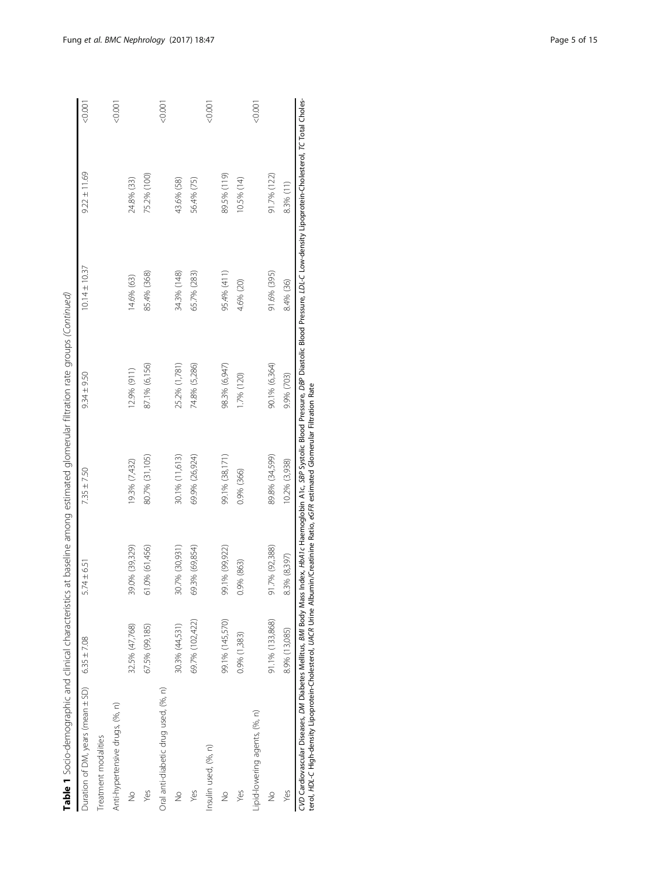| Table 1 Socio-demographic and clinical characteristics |                                                                                                                       |                                   |                 | at baseline among estimated glomerular filtration rate groups (Continued) |                   |                  |         |
|--------------------------------------------------------|-----------------------------------------------------------------------------------------------------------------------|-----------------------------------|-----------------|---------------------------------------------------------------------------|-------------------|------------------|---------|
| Duration of DM, years (mean ± SD)                      | $6.35 \pm 7.08$                                                                                                       | $5.74 \pm 6.51$                   | $7.35 \pm 7.50$ | $9.34 \pm 9.50$                                                           | $10.14 \pm 10.37$ | $9.22 \pm 11.69$ | < 0.001 |
| Treatment modalities                                   |                                                                                                                       |                                   |                 |                                                                           |                   |                  |         |
| Anti-hypertensive drugs, (%, n)                        |                                                                                                                       |                                   |                 |                                                                           |                   |                  | < 0.001 |
| $\frac{1}{2}$                                          | 32.5% (47,768)                                                                                                        | 39.0% (39,329)                    | 19.3% (7,432)   | 12.9% (911)                                                               | 14.6% (63)        | 24.8% (33)       |         |
| Yes                                                    | 67.5% (99, 185)                                                                                                       | 61.0% (61,456)                    | 80.7% (31,105)  | 87.1% (6,156)                                                             | 85.4% (368)       | 75.2% (100)      |         |
| Oral anti-diabetic drug used, (%, n)                   |                                                                                                                       |                                   |                 |                                                                           |                   |                  | < 0.001 |
| $\frac{1}{2}$                                          | 30.3% (44,531)                                                                                                        | 30.7% (30,931)                    | 30.1% (11,613)  | 25.2% (1,781)                                                             | 34.3% (148)       | 43.6% (58)       |         |
| Yes                                                    | 69.7% (102,422)                                                                                                       | 69.3% (69,854)                    | 69.9% (26,924)  | 74.8% (5,286)                                                             | 65.7% (283)       | 56.4% (75)       |         |
| Insulin used, (%, n)                                   |                                                                                                                       |                                   |                 |                                                                           |                   |                  | < 0.001 |
| $\frac{1}{2}$                                          | 99.1% (145,570)                                                                                                       | 99.1% (99,922)                    | 99.1% (38,171)  | 98.3% (6,947)                                                             | 95.4% (411)       | 89.5% (119)      |         |
| Yes                                                    | 0.9% (1,383)                                                                                                          | 0.9% (863)                        | 0.9% (366)      | 1.7% (120)                                                                | 4.6% (20)         | 10.5% (14)       |         |
| lipid-lowering agents, (%, n)                          |                                                                                                                       |                                   |                 |                                                                           |                   |                  | < 0.001 |
| $\frac{1}{2}$                                          | 91.1% (133,868)                                                                                                       | 91.7% (92,388)                    | 89.8% (34,599)  | 90.1% (6,364)                                                             | 91.6% (395)       | 91.7% (122)      |         |
| Yes                                                    | 8.9% (13,085)                                                                                                         | 8.3% (8,397)                      | 10.2% (3,938)   | 9.9% (703)                                                                | 8.4% (36)         | 8.3% (11)        |         |
| .<br>-<br>-<br>こうしょう                                   | <b>CARLO CARLO CARLO CARLO CARLO CARLO CARLO CARLO CARLO CARLO CARLO CARLO CARLO CARLO CARLO CARLO CARLO CARLO CA</b> | the shorts of the Act of the same |                 | $\frac{1}{2}$<br>Pop Pitts in the Pitts                                   |                   |                  |         |

CVD Cardiovascular Diseases, DM Diabetes Mellitus, BM Body Mass Index, HbA1c Haemoglobin A1c, SBP Systolic Blood Pressure, DBP Diastolic Blood Pressure, LDL-C Low-density Lipoprotein-Cholesterol, TC Total Choles-<br>terol, HD CVD Cardiovascular Diseases, DM Diabetes Mellitus, BMI Body Mass Index, HbA1c Haemoglobin A1c, SBP Systolic Blood Pressure, DBP Diastolic Blood Pressure, LDL-C Low-density Lipoprotein-Cholesterol, TC Total Cholesterol, HDL-C High-density Lipoprotein-Cholesterol, UACR Urine Albumin/Creatinine Ratio, eGFR estimated Glomerular Filtration Rate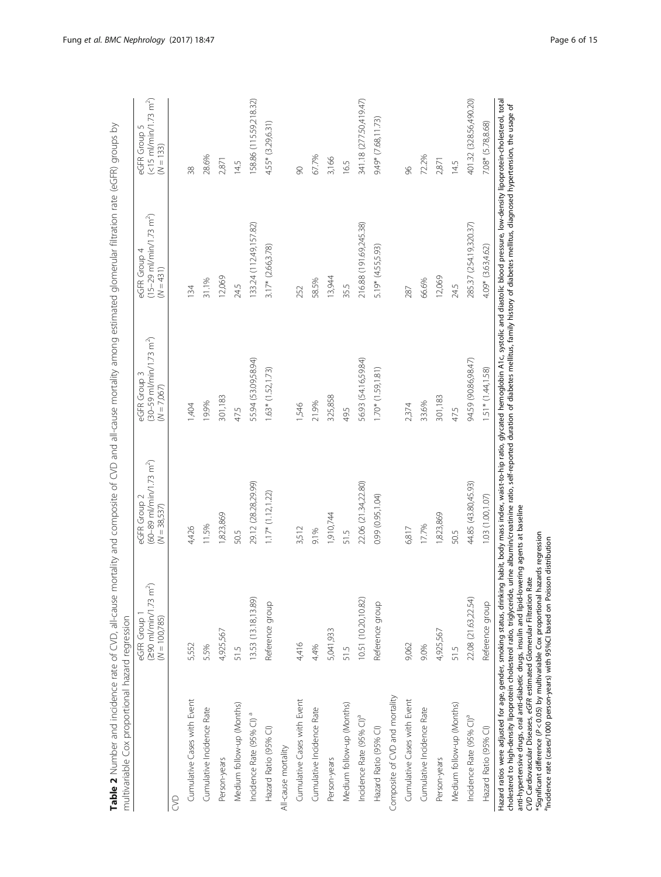<span id="page-5-0"></span>

| multivariable Cox proportional hazard regression                                                                                                                                                                                                                                                       |                                                                             |                                                                                       |                                                                             | ראו איז הארייני האירוער בין האירוער איז איר איז א אירוער האירוער האירוער האירוער האירוער האירוער האירוער האירו<br>האירוער האירוער האירוער האירוער האירוער האירוער האירוער האירוער האירוער האירוער האירוער האירוער האירוער האירו |                                                                                         |
|--------------------------------------------------------------------------------------------------------------------------------------------------------------------------------------------------------------------------------------------------------------------------------------------------------|-----------------------------------------------------------------------------|---------------------------------------------------------------------------------------|-----------------------------------------------------------------------------|---------------------------------------------------------------------------------------------------------------------------------------------------------------------------------------------------------------------------------|-----------------------------------------------------------------------------------------|
|                                                                                                                                                                                                                                                                                                        | $(290 \, \text{m/min}/1.73 \, \text{m}^2)$<br>$(N = 100,785)$<br>eGFR Group | $(60 - 89 \text{ m} / \text{min}/1.73 \text{ m}^2)$<br>eGFR Group 2<br>$(N = 38,537)$ | $(30 - 59 \text{ m/min}/1.73 \text{ m}^2)$<br>eGFR Group 3<br>$(N = 7,067)$ | $(15-29 \text{ m/min}/1.73 \text{ m}^2)$<br>eGFR Group 4<br>$(N = 431)$                                                                                                                                                         | $(\leq 15 \, \text{m/m} \cdot \ln / 1.73 \, \text{m}^2)$<br>eGFR Group 5<br>$(N = 133)$ |
| S                                                                                                                                                                                                                                                                                                      |                                                                             |                                                                                       |                                                                             |                                                                                                                                                                                                                                 |                                                                                         |
| Cumulative Cases with Event                                                                                                                                                                                                                                                                            | 5,552                                                                       | 4,426                                                                                 | 1,404                                                                       | 134                                                                                                                                                                                                                             | 38                                                                                      |
| Cumulative Incidence Rate                                                                                                                                                                                                                                                                              | 5.5%                                                                        | 11.5%                                                                                 | 19.9%                                                                       | 31.1%                                                                                                                                                                                                                           | 28.6%                                                                                   |
| Person-years                                                                                                                                                                                                                                                                                           | 4,925,567                                                                   | 1,823,869                                                                             | 301,183                                                                     | 12,069                                                                                                                                                                                                                          | 2,871                                                                                   |
| Medium follow-up (Months)                                                                                                                                                                                                                                                                              | 515                                                                         | 50.5                                                                                  | 47.5                                                                        | 24.5                                                                                                                                                                                                                            | 14.5                                                                                    |
| Incidence Rate (95% CI) <sup>a</sup>                                                                                                                                                                                                                                                                   | 13.53 (13.18,13.89)                                                         | 29.12 (28.28,29.99)                                                                   | 55.94 (53.09,58.94)                                                         | 133.24 (112.49, 157.82)                                                                                                                                                                                                         | 158.86 (115.59,218.32)                                                                  |
| Hazard Ratio (95% CI)                                                                                                                                                                                                                                                                                  | Reference group                                                             | $1.17*(1.12, 1.22)$                                                                   | $1.63*$ (1.52, 1.73)                                                        | $3.17*$ (2.66,3.78)                                                                                                                                                                                                             | 4.55* (3.29,6.31)                                                                       |
| All-cause mortality                                                                                                                                                                                                                                                                                    |                                                                             |                                                                                       |                                                                             |                                                                                                                                                                                                                                 |                                                                                         |
| Cumulative Cases with Event                                                                                                                                                                                                                                                                            | 4,416                                                                       | 3,512                                                                                 | 1,546                                                                       | 252                                                                                                                                                                                                                             | 90                                                                                      |
| Cumulative Incidence Rate                                                                                                                                                                                                                                                                              | 4.4%                                                                        | 9.1%                                                                                  | 21.9%                                                                       | 58.5%                                                                                                                                                                                                                           | 67.7%                                                                                   |
| Person-years                                                                                                                                                                                                                                                                                           | 5,041,933                                                                   | 1,910,744                                                                             | 325,858                                                                     | 13,944                                                                                                                                                                                                                          | 3,166                                                                                   |
| Medium follow-up (Months)                                                                                                                                                                                                                                                                              | 515                                                                         | 51.5                                                                                  | 49.5                                                                        | 35.5                                                                                                                                                                                                                            | 16.5                                                                                    |
| Incidence Rate (95% CI) <sup>a</sup>                                                                                                                                                                                                                                                                   | 10.51 (10.20,10.82)                                                         | 22.06 (21.34,22.80)                                                                   | 56.93 (54.16,59.84)                                                         | 216.88 (191.69,245.38)                                                                                                                                                                                                          | 341.18 (277.50,419.47)                                                                  |
| Hazard Ratio (95% CI)                                                                                                                                                                                                                                                                                  | Reference group                                                             | 0.99(0.95, 1.04)                                                                      | $1.70*$ (1.59,1.81)                                                         | $5.19* (4.55, 5.93)$                                                                                                                                                                                                            | 9.49* (7.68,11.73)                                                                      |
| Composite of CVD and mortality                                                                                                                                                                                                                                                                         |                                                                             |                                                                                       |                                                                             |                                                                                                                                                                                                                                 |                                                                                         |
| Cumulative Cases with Event                                                                                                                                                                                                                                                                            | 9,062                                                                       | 6,817                                                                                 | 2,374                                                                       | 287                                                                                                                                                                                                                             | 96                                                                                      |
| Cumulative Incidence Rate                                                                                                                                                                                                                                                                              | 9.0%                                                                        | 17.7%                                                                                 | 33.6%                                                                       | 66.6%                                                                                                                                                                                                                           | 72.2%                                                                                   |
| Person-years                                                                                                                                                                                                                                                                                           | 4,925,567                                                                   | 1,823,869                                                                             | 301,183                                                                     | 12,069                                                                                                                                                                                                                          | 2,871                                                                                   |
| Medium follow-up (Months)                                                                                                                                                                                                                                                                              | 515                                                                         | 50.5                                                                                  | 47.5                                                                        | 24.5                                                                                                                                                                                                                            | 14.5                                                                                    |
| Incidence Rate (95% CI) <sup>ª</sup>                                                                                                                                                                                                                                                                   | 22.08 (21.63,22.54)                                                         | 44.85 (43.80,45.93)                                                                   | 94.59 (90.86,98.47)                                                         | 285.37 (254.19,320.37)                                                                                                                                                                                                          | 401.32 (328.56,490.20)                                                                  |
| Hazard Ratio (95% CI)                                                                                                                                                                                                                                                                                  | Reference group                                                             | 1.03(1.00, 1.07)                                                                      | $1.51*$ (1.44, 1.58)                                                        | 4.09* (3.63,4.62)                                                                                                                                                                                                               | 7.08* (5.78,8.68)                                                                       |
| cholesterol to high-density lipoprotein cholesterol ratio, triglyceride, urine albumin/creatinine ratio, self-reported duration of diabetes mellitus, family history of diabetes mellitus, diagnosed hypertension, the usage o<br>Hazard ratios were adjusted for age, gender, smoking status, drinkin |                                                                             |                                                                                       |                                                                             | ng habit, body mass index, waist-to-hip ratio, glycated hemoglobin A1c, systolic and diastolic blood pressure, low-density lipoprotein-cholesterol, total                                                                       |                                                                                         |

Table 2 Number and incidence rate of CVD, all-cause mortality and composite of CVD and all-cause mortality among estimated glomerular filtration rate (eGFR) groups by Table 2 Number and incidence rate of CVD, all-cause mortality and composite of CVD and all-cause mortality among estimated glomerular filtration rate (eGFR) groups by

cholesterol to high-density lipoprotein cholesterol ratio, triglyceride, urine albumin/creatinine ratio, self-reported duration of diabetes mellitus, family history of diabetes mellitus, diagnosed hypertension, the usage of ₹ ļ.  $\leq$ ニ  $\frac{1}{\sigma}$  $\frac{3}{2}$  $\hat{\cdot}$ Hazard ratios were adjusted for age, gender, smoking status, driking habit, body mass index, chalcat ratios were adjusted for age, gender, smoking status, driking habit, body mass index, and the density lipoprotein cholete anti-hypertensive drugs, oral anti-diabetic drugs, insulin and lipid-lowering agents at baseline

CVD Cardiovascular Diseases, eGFR estimated Glomerular Filtration Rate \*Significant difference (P < 0.05) by multivariable Cox proportional hazards regression

aIncidence rate (cases/1000 person-years) with 95%CI based on Poisson distribution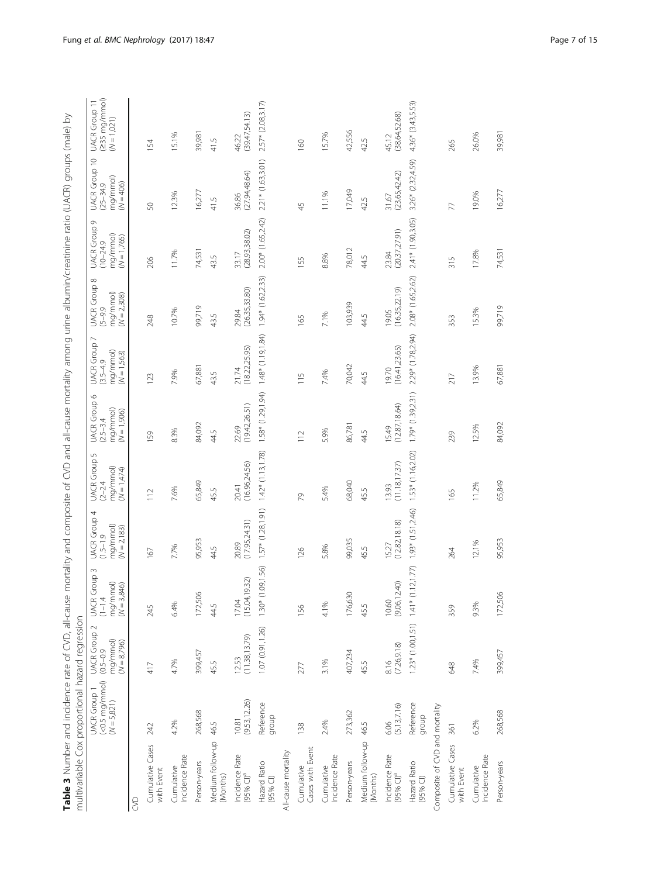| $\overline{\phantom{a}}$<br>Į                                                                                                                                                                                                  |                                                        |
|--------------------------------------------------------------------------------------------------------------------------------------------------------------------------------------------------------------------------------|--------------------------------------------------------|
| j                                                                                                                                                                                                                              |                                                        |
|                                                                                                                                                                                                                                |                                                        |
|                                                                                                                                                                                                                                |                                                        |
| į                                                                                                                                                                                                                              |                                                        |
| 5<br>J                                                                                                                                                                                                                         |                                                        |
| $\overline{a}$                                                                                                                                                                                                                 |                                                        |
| ŕ                                                                                                                                                                                                                              |                                                        |
|                                                                                                                                                                                                                                |                                                        |
|                                                                                                                                                                                                                                |                                                        |
| $\overline{ }$                                                                                                                                                                                                                 |                                                        |
| $\frac{1}{2}$                                                                                                                                                                                                                  |                                                        |
|                                                                                                                                                                                                                                |                                                        |
|                                                                                                                                                                                                                                |                                                        |
| j                                                                                                                                                                                                                              |                                                        |
|                                                                                                                                                                                                                                |                                                        |
|                                                                                                                                                                                                                                |                                                        |
|                                                                                                                                                                                                                                |                                                        |
| ١                                                                                                                                                                                                                              |                                                        |
| - CHAN CONTROLLATION CONTROL<br>J                                                                                                                                                                                              |                                                        |
|                                                                                                                                                                                                                                |                                                        |
| j                                                                                                                                                                                                                              |                                                        |
| ١                                                                                                                                                                                                                              |                                                        |
| $\frac{5}{2}$                                                                                                                                                                                                                  |                                                        |
| inservation controller of the direction of the direct of the direction and all all and the second controller of the direct of the direction of the direction of the direction of the direction of the direction of the directi |                                                        |
|                                                                                                                                                                                                                                |                                                        |
| j                                                                                                                                                                                                                              |                                                        |
| $\frac{1}{2}$                                                                                                                                                                                                                  |                                                        |
|                                                                                                                                                                                                                                |                                                        |
| $\vdots$                                                                                                                                                                                                                       |                                                        |
|                                                                                                                                                                                                                                |                                                        |
|                                                                                                                                                                                                                                |                                                        |
| )<br>3<br>3<br>3<br>3                                                                                                                                                                                                          |                                                        |
|                                                                                                                                                                                                                                |                                                        |
| )<br>)<br>)<br>)<br>)                                                                                                                                                                                                          |                                                        |
|                                                                                                                                                                                                                                |                                                        |
|                                                                                                                                                                                                                                |                                                        |
|                                                                                                                                                                                                                                |                                                        |
|                                                                                                                                                                                                                                |                                                        |
|                                                                                                                                                                                                                                |                                                        |
|                                                                                                                                                                                                                                |                                                        |
|                                                                                                                                                                                                                                |                                                        |
| ) ) ) ) ) ) ) ) ) ) ) ) ) ) ) ) ) )                                                                                                                                                                                            |                                                        |
|                                                                                                                                                                                                                                |                                                        |
| j                                                                                                                                                                                                                              |                                                        |
|                                                                                                                                                                                                                                |                                                        |
| Ş                                                                                                                                                                                                                              |                                                        |
|                                                                                                                                                                                                                                |                                                        |
|                                                                                                                                                                                                                                |                                                        |
| )<br>S                                                                                                                                                                                                                         |                                                        |
| ĺ                                                                                                                                                                                                                              | ļ                                                      |
| j<br>j                                                                                                                                                                                                                         | j<br>$\overline{ }$                                    |
| ļ                                                                                                                                                                                                                              | I<br>)りり<br>i<br>١                                     |
| I                                                                                                                                                                                                                              | i<br>j                                                 |
|                                                                                                                                                                                                                                | J<br>ļ                                                 |
| ֧֖֚֚֝<br>֧֚֚֚֚֚֝֝<br>֧֚֚֚֝֝֝<br>1                                                                                                                                                                                              | くらい<br>֖֖֖֖֖֖֧֚֚֚֚֚֚֚֚֚֚֚֚֚֚֚֚֚֚֚֚֚֚֚֚֚֬֝֟֓֡֡֓֬֝֓֞֬֝֓֬ |
| i<br>Santa Caracasa<br>j                                                                                                                                                                                                       | j<br>I<br>S                                            |
|                                                                                                                                                                                                                                |                                                        |
|                                                                                                                                                                                                                                | ֚֬֕                                                    |
| j                                                                                                                                                                                                                              |                                                        |
| j                                                                                                                                                                                                                              | くら いすいへい                                               |
|                                                                                                                                                                                                                                |                                                        |
| i<br>i                                                                                                                                                                                                                         | ļ<br>!                                                 |
| ֞<br>$\mathbf$<br>j                                                                                                                                                                                                            | シーこうりょ                                                 |
| $\overline{\phantom{a}}$                                                                                                                                                                                                       | I                                                      |
| $\sim$                                                                                                                                                                                                                         |                                                        |
|                                                                                                                                                                                                                                | l<br>į<br>l<br>3                                       |
|                                                                                                                                                                                                                                | $\ddot{\dot{\ }}$                                      |
|                                                                                                                                                                                                                                | ;<br>;                                                 |
|                                                                                                                                                                                                                                |                                                        |

<span id="page-6-0"></span>

| Table 3 Number and incidence rate of CVD, all-cause<br>multivariable Cox proportional hazard regression |                                                                     |                                                            |                                                                            |                                                                    |                                                                    |                                                            | mortality and composite of CVD and all-cause mortality among urine albumin/creatinine ratio (UACR) groups (male) by |                                                                                 |                                                                      |                                                                  |                                                         |
|---------------------------------------------------------------------------------------------------------|---------------------------------------------------------------------|------------------------------------------------------------|----------------------------------------------------------------------------|--------------------------------------------------------------------|--------------------------------------------------------------------|------------------------------------------------------------|---------------------------------------------------------------------------------------------------------------------|---------------------------------------------------------------------------------|----------------------------------------------------------------------|------------------------------------------------------------------|---------------------------------------------------------|
|                                                                                                         | $(\leq 0.5 \text{ mg/mm})$<br><b>UACR</b> Group 1<br>$(N = 5, 821)$ | UACR Group 2<br>mg/mmol)<br>$(N = 8,796)$<br>$(0.5 - 0.9)$ | 3<br>Group:<br>$mg/mmol)$<br>( $N = 3,846$ )<br>$(1 - 1.4)$<br><b>UACR</b> | 4<br><b>UACR</b> Group<br>mg/mmol)<br>$(N = 2,183)$<br>$1.5 - 1.9$ | S<br><b>UACR</b> Group<br>mg/mmol)<br>$(N = 1,474)$<br>$(2 - 2.4)$ | UACR Group 6<br>mg/mmol)<br>$(N = 1,906)$<br>$(2.5 - 3.4)$ | <b>UACR</b> Group 7<br>mg/mmol)<br>$(N = 1,563)$<br>$3.5 - 4.9$                                                     | ${}^{\infty}$<br><b>UACR</b> Group<br>mg/mmol)<br>$(N = 2,308)$<br>$(-5 - 9.9)$ | Ò<br><b>UACR</b> Group<br>mg/mmol)<br>$(N = 1,765)$<br>$(10 - 24.9)$ | <b>UACR</b> Group 10<br>mg/mmol)<br>$(25 - 34.9)$<br>$(N = 406)$ | $(235 \text{ mg/mm})$<br>UACR Group 11<br>$(N = 1,021)$ |
| S                                                                                                       |                                                                     |                                                            |                                                                            |                                                                    |                                                                    |                                                            |                                                                                                                     |                                                                                 |                                                                      |                                                                  |                                                         |
| Cumulative Cases<br>with Event                                                                          | 242                                                                 | 417                                                        | 245                                                                        | 167                                                                | $\frac{1}{2}$                                                      | 59                                                         | 123                                                                                                                 | 248                                                                             | 206                                                                  | 50                                                               | 54                                                      |
| Incidence Rate<br>Cumulative                                                                            | 4.2%                                                                | 4.7%                                                       | 6.4%                                                                       | 7.7%                                                               | 7.6%                                                               | 8.3%                                                       | 7.9%                                                                                                                | 10.7%                                                                           | 11.7%                                                                | 12.3%                                                            | 15.1%                                                   |
| Person-years                                                                                            | 268,568                                                             | 399,457                                                    | 172,506                                                                    | 95,953                                                             | 65,849                                                             | 84,092                                                     | 67,881                                                                                                              | 99,719                                                                          | 74,531                                                               | 16,277                                                           | 39,981                                                  |
| Medium follow-up 46.5<br>(Months)                                                                       |                                                                     | 45.5                                                       | 44.5                                                                       | 44.5                                                               | 45.5                                                               | 44.5                                                       | 43.5                                                                                                                | 43.5                                                                            | 43.5                                                                 | 41.5                                                             | 41.5                                                    |
| Incidence Rate<br>(95%C) <sup>a</sup>                                                                   | (9.53, 12.26)<br>10.81                                              | (11.38, 13.79)<br>12.53                                    | 932)<br>(15.04,<br>17.04                                                   | (17.95,24.31)<br>20.89                                             | (16.96,24.56)<br>20.41                                             | (19.42,26.51)<br>22.69                                     | (18.22, 25.95)<br>21.74                                                                                             | (26.35, 33.80)<br>29.84                                                         | (28.93, 38.02)<br>33.17                                              | (27.94, 48.64)<br>36.86                                          | (39.47,54.13)<br>46.22                                  |
| Hazard Ratio<br>$(95%$ Cl)                                                                              | Reference<br>qroup                                                  | 1.07 (0.91,1.26)                                           | 1.30* (1.09,1.56)                                                          | $1.57*$ $(1.28, 1.91)$                                             | $1.42*(1.13, 1.78)$                                                | 1.58* (1.29,1.94)                                          | $1.48*(1.19, 1.84)$                                                                                                 | $1.94*(1.62,2.33)$                                                              | 2.00* (1.65,2.42)                                                    | $2.21*$ (1.63,3.01)                                              | 2.57* (2.08,3.17)                                       |
| All-cause mortality                                                                                     |                                                                     |                                                            |                                                                            |                                                                    |                                                                    |                                                            |                                                                                                                     |                                                                                 |                                                                      |                                                                  |                                                         |
| Cases with Event<br>Cumulative                                                                          | 138                                                                 | 277                                                        | 156                                                                        | 126                                                                | 29                                                                 | 112                                                        | 115                                                                                                                 | 165                                                                             | 155                                                                  | 45                                                               | 160                                                     |
| Incidence Rate<br>Cumulative                                                                            | 2.4%                                                                | 3.1%                                                       | 4.1%                                                                       | 5.8%                                                               | 5.4%                                                               | 5.9%                                                       | 7.4%                                                                                                                | 7.1%                                                                            | 8.8%                                                                 | 11.1%                                                            | 15.7%                                                   |
| Person-years                                                                                            | 273,362                                                             | 407,234                                                    | 176,630                                                                    | 99,035                                                             | 68,040                                                             | 86,781                                                     | 70,042                                                                                                              | 103,939                                                                         | 78,012                                                               | 17,049                                                           | 42,556                                                  |
| Medium follow-up<br>(Months)                                                                            | 46.5                                                                | 45.5                                                       | 45.5                                                                       | 45.5                                                               | 45.5                                                               | 44.5                                                       | 44.5                                                                                                                | 44.5                                                                            | 44.5                                                                 | 42.5                                                             | 42.5                                                    |
| Incidence Rate<br>(95% CI) <sup>a</sup>                                                                 | (5.13, 7.16)<br>6.06                                                | (7.26, 9.18)<br>$\frac{816}{ }$                            | (9.06, 12.40)<br>10.60                                                     | (12.82, 18.18)<br>15.27                                            | (11.18, 17.37)<br>13.93                                            | (12.87, 18.64)<br>15.49                                    | (16.41, 23.65)<br>19.70                                                                                             | (16.35, 22.19)<br>19.05                                                         | (20.37,27.91)<br>23.84                                               | (23.65, 42.42)<br>31.67                                          | (38.64, 52.68)<br>45.12                                 |
| Hazard Ratio<br>$(95%$ Cl)                                                                              | Reference<br>dronb                                                  |                                                            | $1.23*$ (1.00,1.51) $1.41*$ (1.12,1.77)                                    | $1.93*$ $(1.51,2.46)$                                              | 1.53* (1.16,2.02)                                                  | $1.79*$ $(1.39,2.31)$                                      | 2.29* (1.78,2.94)                                                                                                   | 2.08* (1.65,2.62)                                                               | 2.41* (1.90,3.05)                                                    | 3.26* (2.32,4.59)                                                | 4.36* (3.43,5.53)                                       |
| Composite of CVD and mortality                                                                          |                                                                     |                                                            |                                                                            |                                                                    |                                                                    |                                                            |                                                                                                                     |                                                                                 |                                                                      |                                                                  |                                                         |
| Cumulative Cases<br>with Event                                                                          | 361                                                                 | 648                                                        | 359                                                                        | 264                                                                | 165                                                                | 239                                                        | 217                                                                                                                 | 353                                                                             | 315                                                                  | 77                                                               | 265                                                     |
| Incidence Rate<br>Cumulative                                                                            | 6.2%                                                                | 7.4%                                                       | 9.3%                                                                       | 12.1%                                                              | 11.2%                                                              | 12.5%                                                      | 13.9%                                                                                                               | 15.3%                                                                           | 17.8%                                                                | 19.0%                                                            | 26.0%                                                   |
| Person-years                                                                                            | 268,568                                                             | 399,457                                                    | 172,506                                                                    | 95,953                                                             | 65,849                                                             | 84,092                                                     | 67,881                                                                                                              | 99,719                                                                          | 74,531                                                               | 16,277                                                           | 39,981                                                  |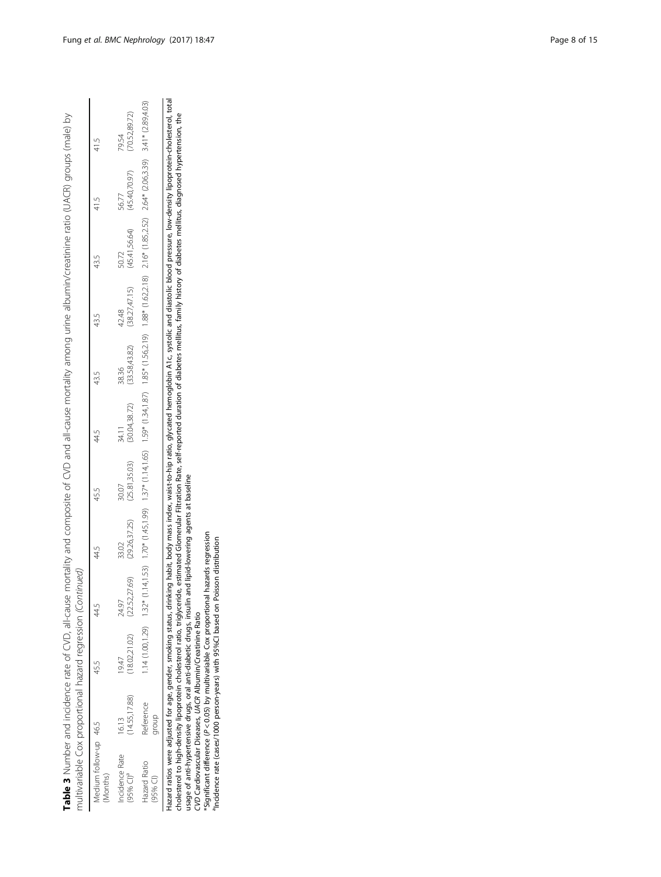| multivariable Cox proportional hazard regression (Contin<br>Table 3 Number and incidence rate of CVD, all-cause |                       |                      | inued)                                                                                                                                                                                                                       |                         |                         |                         |                         |                         |                         | mortality and composite of CVD and all-cause mortality among urine albumin/creatinine ratio (UACR) groups (male) by |                         |
|-----------------------------------------------------------------------------------------------------------------|-----------------------|----------------------|------------------------------------------------------------------------------------------------------------------------------------------------------------------------------------------------------------------------------|-------------------------|-------------------------|-------------------------|-------------------------|-------------------------|-------------------------|---------------------------------------------------------------------------------------------------------------------|-------------------------|
| Medium follow-up 46.5<br>Months)                                                                                |                       | 45.5                 | 44.5                                                                                                                                                                                                                         | 44.5                    | 45.5                    | 44,5                    | 43.5                    | 43.5                    | 43.5                    | 41.5                                                                                                                | 41.5                    |
| <b>Icidence Rate</b><br>95% CI) <sup>a</sup>                                                                    | 14.55,17.88)<br>16.13 | 18.02,21.02)<br>9.47 | (22.52, 27.69)<br>24.97                                                                                                                                                                                                      | (29.26, 37.25)<br>33.02 | (25.81, 35.03)<br>30.07 | (30.04, 38.72)<br>34.11 | (33.58, 43.82)<br>38.36 | (38.27, 47.15)<br>42.48 | (45.41, 56.64)<br>50.72 | (45.40, 70.97)<br>56.77                                                                                             | (70.52, 89.72)<br>79.54 |
| lazard Ratio<br>95% CI)                                                                                         | Reference<br>qroup    |                      | (03)458,02 14,11,52,0 1.632,0 1.625,0 1.625,0 1.625,1 1.625,1 1.625,1 1.625,1 1.625,1 1.650,1 1.451,1 1.650,1 1.651,541,037,0 1.625,0 1.625,0 1.625,0 1.625,0 1.625,0 1.625,0 1.625,0 1.625,0 1.625,0 1.625,0 1.625,0 1.625, |                         |                         |                         |                         |                         |                         |                                                                                                                     |                         |

Hazard ratios were adjusted for age, gender, smoking status, drinking habit, body mass index, waist-to-hip ratio, glycated hemoglobin A1c, systolic and diastolic blood pressure, low-density lipoprotein-cholesterol, total<br>c Hazard ratios were adjusted for age, gender, smoking status, drinking habit, body mass index, waist-to-hip ratio, glycated hemoglobin A1c, systolic and diastolic blood pressure, low-density lipoprotein-cholesterol, total cholesterol to high-density lipoprotein cholesterol ratio, triglyceride, estimated Glomerular Filtration Rate, self-reported duration of diabetes mellitus, family history of diabetes mellitus, diagnosed hypertension, the

usage of anti-hypertensive drugs, oral anti-diabetic drugs, insulin and lipid-lowering agents at baseline

CVD Cardiovascular Diseases, UACR Albumin/Creatinine Ratio

\*Significant difference (P < 0.05) by multivariable Cox proportional hazards regression aIncidence rate (cases/1000 person-years) with 95%CI based on Poisson distribution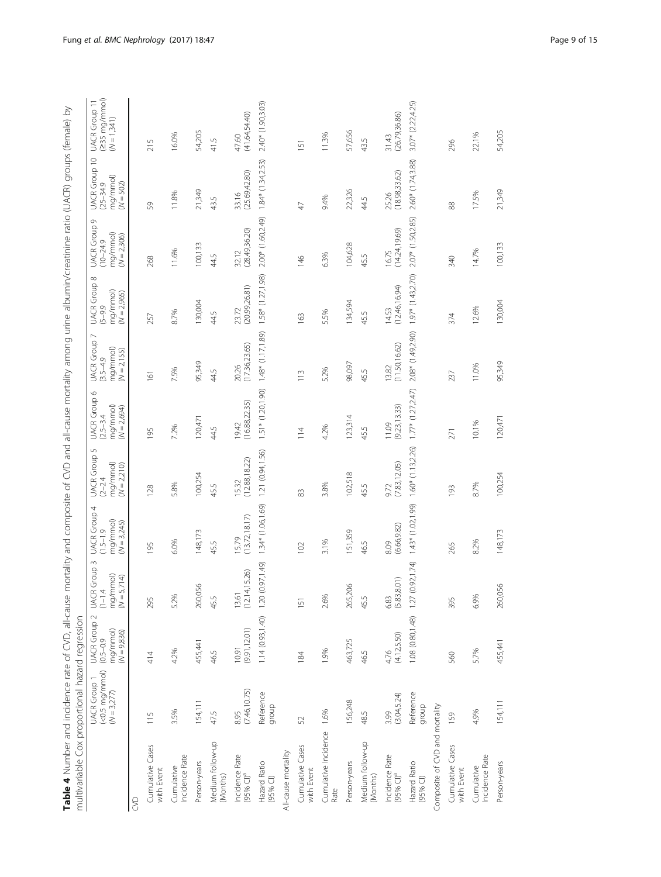<span id="page-8-0"></span>

| Table 4 Number and incidence rate of CVD, all-cause<br>multivariable Cox proportional hazard regression |                                                                 |                                                                   |                                                                  | mortality and composite of CVD and all-cause mortality among urine albumin/creatinine ratio (UACR) groups (female) by |                                                                                   |                                                                            |                                                                 |                                                                 |                                                                      |                                                           |                                                         |
|---------------------------------------------------------------------------------------------------------|-----------------------------------------------------------------|-------------------------------------------------------------------|------------------------------------------------------------------|-----------------------------------------------------------------------------------------------------------------------|-----------------------------------------------------------------------------------|----------------------------------------------------------------------------|-----------------------------------------------------------------|-----------------------------------------------------------------|----------------------------------------------------------------------|-----------------------------------------------------------|---------------------------------------------------------|
|                                                                                                         | $(<\!\!0.5 \, mg/mmol)$<br><b>UACR</b> Group 1<br>$(N = 3,277)$ | <b>UACR</b> Group 2<br>mg/mmol)<br>$(N = 9,836)$<br>$(0.5 - 0.9)$ | $\sim$<br>UACR Group 3<br>(1–1.4<br>mg/mmol)<br>5,714)<br>$\leq$ | 4<br><b>UACR</b> Group<br>mg/mmol)<br>$(N = 3,245)$<br>$(1.5 - 1.9)$                                                  | $\mathsf{L}\cap$<br><b>UACR</b> Group<br>mg/mmol)<br>$(N = 2,210)$<br>$(2 - 2.4)$ | $\circ$<br><b>UACR</b> Group<br>mg/mmol)<br>$(N = 2,694)$<br>$(2.5 - 3.4)$ | <b>UACR</b> Group<br>mg/mmol)<br>$(N = 2,155)$<br>$(3.5 - 4.9)$ | $\infty$<br>UACR Group &<br>(5–9.9<br>mg/mmol)<br>$(N = 2,965)$ | G<br><b>UACR</b> Group<br>mg/mmol)<br>$(N = 2,306)$<br>$(10 - 24.9)$ | UACR Group 10<br>mg/mmol)<br>$(N = 502)$<br>$(25 - 34.9)$ | $(235 \text{ mg/mm})$<br>UACR Group 11<br>$(W = 1,341)$ |
| S                                                                                                       |                                                                 |                                                                   |                                                                  |                                                                                                                       |                                                                                   |                                                                            |                                                                 |                                                                 |                                                                      |                                                           |                                                         |
| Cumulative Cases<br>with Event                                                                          | 115                                                             | 414                                                               | 295                                                              | 195                                                                                                                   | 128                                                                               | 95                                                                         | 161                                                             | 257                                                             | 268                                                                  | S9                                                        | S<br>$\overline{z}$                                     |
| Incidence Rate<br>Cumulative                                                                            | 3.5%                                                            | 4.2%                                                              | 5.2%                                                             | 6.0%                                                                                                                  | 5.8%                                                                              | 7.2%                                                                       | 7.5%                                                            | 8.7%                                                            | 11.6%                                                                | 11.8%                                                     | 16.0%                                                   |
| Person-years                                                                                            | 154,111                                                         | 455,441                                                           | 260,056                                                          | 148,173                                                                                                               | 100,254                                                                           | 120,471                                                                    | 95,349                                                          | 130,004                                                         | 100,133                                                              | 21,349                                                    | 54,205                                                  |
| Medium follow-up<br>(Months)                                                                            | 47.5                                                            | 46.5                                                              | 45.5                                                             | 45.5                                                                                                                  | 45.5                                                                              | 44.5                                                                       | 44.5                                                            | 44.5                                                            | 44.5                                                                 | 43.5                                                      | 41.5                                                    |
| Incidence Rate<br>(95% CI) <sup>a</sup>                                                                 | (7.46, 10.75)<br>8.95                                           | (9.91, 12.01)<br>10.91                                            | 14,15.26)<br>$13.61$<br>$(12.14)$                                | (13.72, 18.17)<br>15.79                                                                                               | (12.88, 18.22)<br>15.32                                                           | (16.88, 22.35)<br>19.42                                                    | (17.36, 23.65)<br>20.26                                         | (20.99, 26.81)<br>23.72                                         | (28.49, 36.20)<br>32.12                                              | (25.69, 42.80)<br>33.16                                   | (41.64,54.40)<br>47.60                                  |
| Hazard Ratio<br>$(95%$ Cl)                                                                              | Reference<br>qroup                                              | 1.14(0.93, 1.40)                                                  | (0.97, 1.49)<br>120                                              | 1.34* (1.06,1.69)                                                                                                     | 1.21 (0.94,1.56)                                                                  | 1.51* (1.20,1.90)                                                          | $1.48*(1.17, 1.89)$                                             | 1.58* (1.27, 1.98)                                              | 2.00* (1.60,2.49)                                                    | $1.84*$ (1.34,2.53)                                       | 2.40* (1.90,3.03)                                       |
| All-cause mortality                                                                                     |                                                                 |                                                                   |                                                                  |                                                                                                                       |                                                                                   |                                                                            |                                                                 |                                                                 |                                                                      |                                                           |                                                         |
| Cumulative Cases<br>with Event                                                                          | 52                                                              | 184                                                               | 151                                                              | 102                                                                                                                   | 83                                                                                | $\frac{14}{1}$                                                             | $\frac{13}{11}$                                                 | 163                                                             | 146                                                                  | $\overline{4}$                                            | 151                                                     |
| Cumulative Incidence 1.6%<br>Rate                                                                       |                                                                 | 1.9%                                                              | 2.6%                                                             | 3.1%                                                                                                                  | 3.8%                                                                              | 4.2%                                                                       | 5.2%                                                            | 5.5%                                                            | 6.3%                                                                 | 9.4%                                                      | 11.3%                                                   |
| Person-years                                                                                            | 156,248                                                         | 463,725                                                           | 265,206                                                          | 151,359                                                                                                               | 102,518                                                                           | 123,314                                                                    | 98,097                                                          | 134,594                                                         | 104,628                                                              | 22,326                                                    | 57,656                                                  |
| Medium follow-up<br>(Months)                                                                            | 48.5                                                            | 46.5                                                              | 45.5                                                             | 46.5                                                                                                                  | 45.5                                                                              | 45.5                                                                       | 45.5                                                            | 45.5                                                            | 45.5                                                                 | 44.5                                                      | 43.5                                                    |
| Incidence Rate<br>$(95\%$ Cl) <sup>a</sup>                                                              | (3.04, 5.24)<br>3.99                                            | (4.12, 5.50)<br>4.76                                              | (5.83, 8.01)<br>6.83                                             | (6.66, 9.82)<br>8.09                                                                                                  | (7.83, 12.05)<br>9.72                                                             | (9.23, 13.33)<br>11.09                                                     | (11.50, 16.62)<br>13.82                                         | (12.46, 16.94)<br>14.53                                         | (14.24, 19.69)<br>16.75                                              | (18.98, 33.62)<br>25.26                                   | (26.79, 36.86)<br>31.43                                 |
| Hazard Ratio<br>$(95\%$ Cl)                                                                             | Reference<br>dnoub                                              | 1.08 (0.80, 1.48)                                                 | (0.92, 1.74)<br>1.27                                             | $1.43*$ $(1.02, 1.99)$                                                                                                | 1.60* (1.13,2.26)                                                                 | $1.77*$ $(1.27, 2.47)$                                                     | 2.08* (1.49,2.90)                                               | $1.97*$ (1.43,2.70)                                             | 2.07* (1.50,2.85)                                                    | 2.60* (1.74,3.88)                                         | $3.07*$ (2.22,4.25)                                     |
| Composite of CVD and mortality                                                                          |                                                                 |                                                                   |                                                                  |                                                                                                                       |                                                                                   |                                                                            |                                                                 |                                                                 |                                                                      |                                                           |                                                         |
| Cumulative Cases<br>with Event                                                                          | 159                                                             | 560                                                               | 395                                                              | 265                                                                                                                   | 193                                                                               | 271                                                                        | 237                                                             | 374                                                             | 340                                                                  | 88                                                        | 296                                                     |
| Incidence Rate<br>Cumulative                                                                            | 4.9%                                                            | 5.7%                                                              | 6.9%                                                             | 8.2%                                                                                                                  | 8.7%                                                                              | 10.1%                                                                      | 11.0%                                                           | 12.6%                                                           | 14.7%                                                                | 17.5%                                                     | 22.1%                                                   |
| Person-years                                                                                            | 154,111                                                         | 455,441                                                           | 260,056                                                          | 148,173                                                                                                               | 100,254                                                                           | 120,471                                                                    | 95,349                                                          | 130,004                                                         | 100,133                                                              | 21,349                                                    | 54,205                                                  |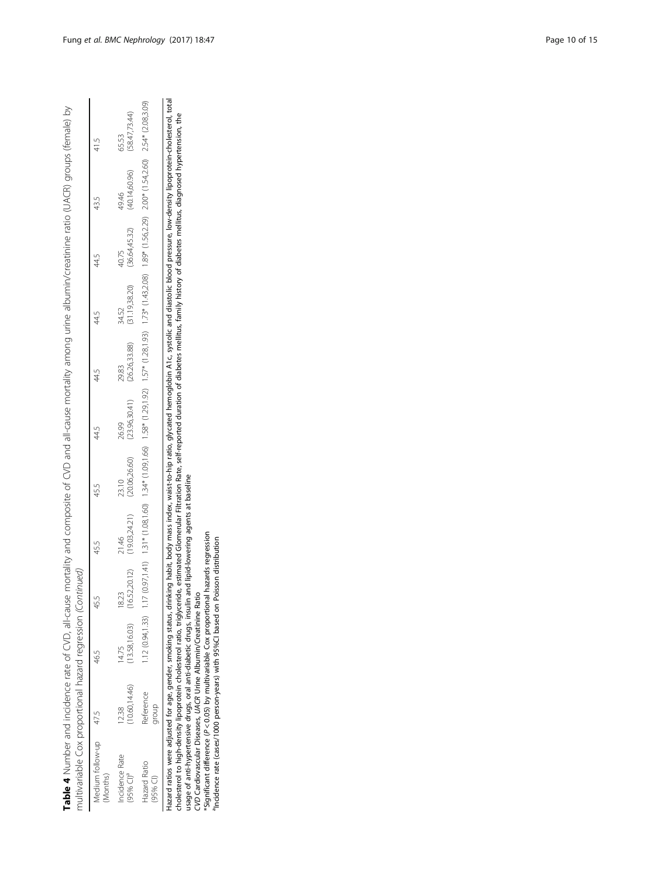| multivariable Cox proportional hazard regression (Contin<br>Table 4 Number and incidence rate of CVD, all-cause |                      |                       | inued,                  |                        |                         |                         |                         | mortality and composite of CVD and all-cause mortality among urine albumin/creatinine ratio (UACR) groups (female) by                                                                                                          |                         |                        |                         |
|-----------------------------------------------------------------------------------------------------------------|----------------------|-----------------------|-------------------------|------------------------|-------------------------|-------------------------|-------------------------|--------------------------------------------------------------------------------------------------------------------------------------------------------------------------------------------------------------------------------|-------------------------|------------------------|-------------------------|
| Medium follow-up 47.5<br>Months)                                                                                |                      | 46.5                  | 45.5                    | 45.5                   | 45.5                    | 44.5                    | 44.5                    | 44.5                                                                                                                                                                                                                           | 44.5                    | 43.5                   | 41.5                    |
| <b>ncidence Rate</b><br>95% Cl)ª                                                                                | 10.60, 14.46<br>2.38 | 13.58,16.03)<br>14.75 | (16.52, 20.12)<br>18.23 | (19.03,24.21)<br>21.46 | (20.06, 26.60)<br>23.10 | (23.96, 30.41)<br>26.99 | (26.26, 33.88)<br>29.83 | 31.19,38.20)<br>34.52                                                                                                                                                                                                          | (36.64, 45.32)<br>40.75 | (40.14,60.96)<br>49.46 | (58.47, 73.44)<br>65.53 |
| <b>Hazard Ratio</b><br>95% CI)                                                                                  | Reference<br>dnoit   |                       |                         |                        |                         |                         |                         | 12(0.91,123) 117(0.97,141) 12 ** (1.03,160) 12 ** (1.25* (1.26% (1.26% (1.26% (1.26% (1.26% (1.26% (1.26% (1.26% (1.36% (1.37% (1.37% (1.36% (1.26% (1.26% (1.26% (1.26% (1.26% 1.86% 1.86% 1.86% 1.26% 1.26% 1.86% 1.86% 1.86 |                         |                        |                         |

Hazard ratios were adjusted for age, gender, smoking status, drinking habit, body mass index, waist-to-hip ratio, glycated hemoglobin A1c, systolic and diastolic blood pressure, low-density lipoprotein-cholesterol, total<br> Hazard ratios were adjusted for age, gender, smoking status, drinking habit, body mass index, waist-to-hip ratio, glycated hemoglobin A1c, systolic and diastolic blood pressure, low-density lipoprotein-cholesterol, total cholesterol to high-density lipoprotein cholesterol ratio, triglyceride, estimated Glomerular Filtration Rate, self-reported duration of diabetes mellitus, family history of diabetes mellitus, diagnosed hypertension, the

usage of anti-hypertensive drugs, oral anti-diabetic drugs, insulin and lipid-lowering agents at baseline

CVD Cardiovascular Diseases, UACR Urine Albumin/Creatinine Ratio

\*Significant difference (P < 0.05) by multivariable Cox proportional hazards regression aIncidence rate (cases/1000 person-years) with 95%CI based on Poisson distribution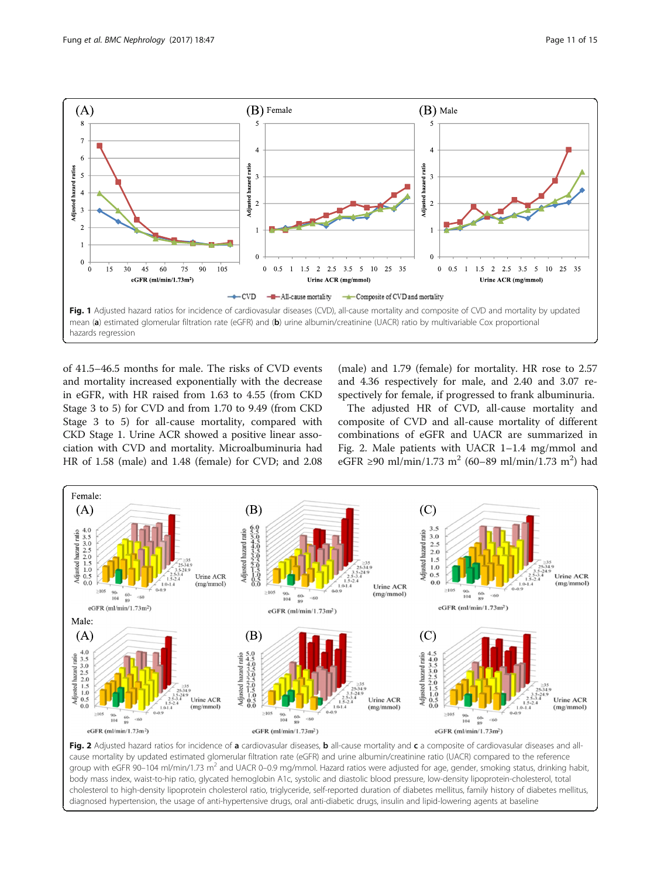<span id="page-10-0"></span>

of 41.5–46.5 months for male. The risks of CVD events and mortality increased exponentially with the decrease in eGFR, with HR raised from 1.63 to 4.55 (from CKD Stage 3 to 5) for CVD and from 1.70 to 9.49 (from CKD Stage 3 to 5) for all-cause mortality, compared with CKD Stage 1. Urine ACR showed a positive linear association with CVD and mortality. Microalbuminuria had HR of 1.58 (male) and 1.48 (female) for CVD; and 2.08

(male) and 1.79 (female) for mortality. HR rose to 2.57 and 4.36 respectively for male, and 2.40 and 3.07 respectively for female, if progressed to frank albuminuria.

The adjusted HR of CVD, all-cause mortality and composite of CVD and all-cause mortality of different combinations of eGFR and UACR are summarized in Fig. 2. Male patients with UACR 1–1.4 mg/mmol and eGFR ≥90 ml/min/1.73 m<sup>2</sup> (60–89 ml/min/1.73 m<sup>2</sup>) had



Fig. 2 Adjusted hazard ratios for incidence of a cardiovasular diseases, b all-cause mortality and c a composite of cardiovasular diseases and allcause mortality by updated estimated glomerular filtration rate (eGFR) and urine albumin/creatinine ratio (UACR) compared to the reference group with eGFR 90-104 ml/min/1.73 m<sup>2</sup> and UACR 0-0.9 mg/mmol. Hazard ratios were adjusted for age, gender, smoking status, drinking habit, body mass index, waist-to-hip ratio, glycated hemoglobin A1c, systolic and diastolic blood pressure, low-density lipoprotein-cholesterol, total cholesterol to high-density lipoprotein cholesterol ratio, triglyceride, self-reported duration of diabetes mellitus, family history of diabetes mellitus, diagnosed hypertension, the usage of anti-hypertensive drugs, oral anti-diabetic drugs, insulin and lipid-lowering agents at baseline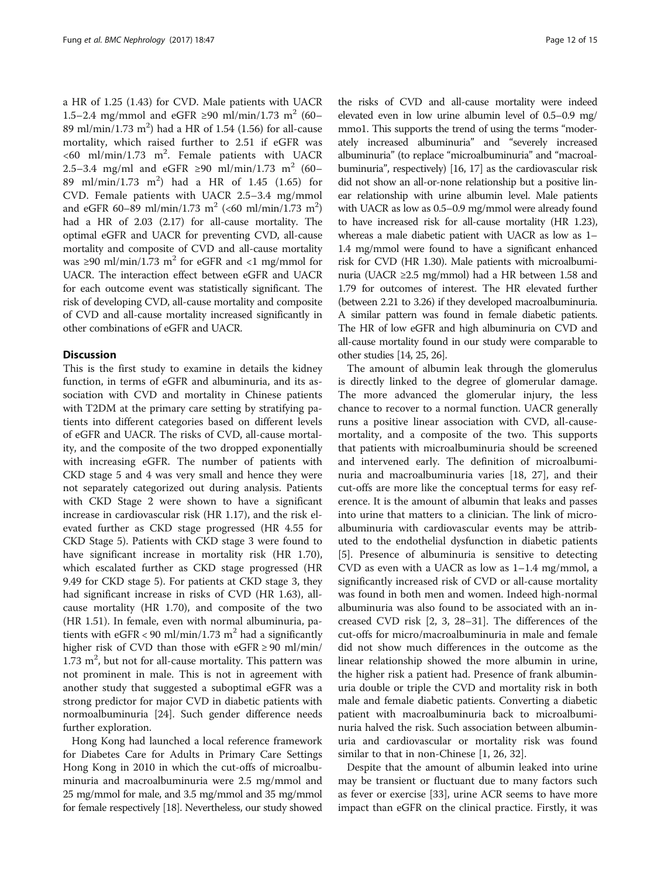a HR of 1.25 (1.43) for CVD. Male patients with UACR 1.5–2.4 mg/mmol and eGFR ≥90 ml/min/1.73 m<sup>2</sup> (60– 89 ml/min/1.73 m<sup>2</sup>) had a HR of 1.54 (1.56) for all-cause mortality, which raised further to 2.51 if eGFR was  $<60$  ml/min/1.73 m<sup>2</sup>. Female patients with UACR 2.5–3.4 mg/ml and eGFR ≥90 ml/min/1.73 m<sup>2</sup> (60– 89 ml/min/1.73 m<sup>2</sup> ) had a HR of 1.45 (1.65) for CVD. Female patients with UACR 2.5–3.4 mg/mmol and eGFR 60–89 ml/min/1.73 m<sup>2</sup> (<60 ml/min/1.73 m<sup>2</sup>) had a HR of 2.03 (2.17) for all-cause mortality. The optimal eGFR and UACR for preventing CVD, all-cause mortality and composite of CVD and all-cause mortality was  $\geq$ 90 ml/min/1.73 m<sup>2</sup> for eGFR and <1 mg/mmol for UACR. The interaction effect between eGFR and UACR for each outcome event was statistically significant. The risk of developing CVD, all-cause mortality and composite of CVD and all-cause mortality increased significantly in other combinations of eGFR and UACR.

### **Discussion**

This is the first study to examine in details the kidney function, in terms of eGFR and albuminuria, and its association with CVD and mortality in Chinese patients with T2DM at the primary care setting by stratifying patients into different categories based on different levels of eGFR and UACR. The risks of CVD, all-cause mortality, and the composite of the two dropped exponentially with increasing eGFR. The number of patients with CKD stage 5 and 4 was very small and hence they were not separately categorized out during analysis. Patients with CKD Stage 2 were shown to have a significant increase in cardiovascular risk (HR 1.17), and the risk elevated further as CKD stage progressed (HR 4.55 for CKD Stage 5). Patients with CKD stage 3 were found to have significant increase in mortality risk (HR 1.70), which escalated further as CKD stage progressed (HR 9.49 for CKD stage 5). For patients at CKD stage 3, they had significant increase in risks of CVD (HR 1.63), allcause mortality (HR 1.70), and composite of the two (HR 1.51). In female, even with normal albuminuria, patients with  $eGFR < 90$  ml/min/1.73 m<sup>2</sup> had a significantly higher risk of CVD than those with  $eGFR \ge 90$  ml/min/  $1.73 \text{ m}^2$ , but not for all-cause mortality. This pattern was not prominent in male. This is not in agreement with another study that suggested a suboptimal eGFR was a strong predictor for major CVD in diabetic patients with normoalbuminuria [\[24](#page-14-0)]. Such gender difference needs further exploration.

Hong Kong had launched a local reference framework for Diabetes Care for Adults in Primary Care Settings Hong Kong in 2010 in which the cut-offs of microalbuminuria and macroalbuminuria were 2.5 mg/mmol and 25 mg/mmol for male, and 3.5 mg/mmol and 35 mg/mmol for female respectively [[18](#page-13-0)]. Nevertheless, our study showed

the risks of CVD and all-cause mortality were indeed elevated even in low urine albumin level of 0.5–0.9 mg/ mmo1. This supports the trend of using the terms "moderately increased albuminuria" and "severely increased albuminuria" (to replace "microalbuminuria" and "macroalbuminuria", respectively) [\[16, 17](#page-13-0)] as the cardiovascular risk did not show an all-or-none relationship but a positive linear relationship with urine albumin level. Male patients with UACR as low as 0.5–0.9 mg/mmol were already found to have increased risk for all-cause mortality (HR 1.23), whereas a male diabetic patient with UACR as low as 1– 1.4 mg/mmol were found to have a significant enhanced risk for CVD (HR 1.30). Male patients with microalbuminuria (UACR ≥2.5 mg/mmol) had a HR between 1.58 and 1.79 for outcomes of interest. The HR elevated further (between 2.21 to 3.26) if they developed macroalbuminuria. A similar pattern was found in female diabetic patients. The HR of low eGFR and high albuminuria on CVD and all-cause mortality found in our study were comparable to other studies [[14,](#page-13-0) [25](#page-14-0), [26](#page-14-0)].

The amount of albumin leak through the glomerulus is directly linked to the degree of glomerular damage. The more advanced the glomerular injury, the less chance to recover to a normal function. UACR generally runs a positive linear association with CVD, all-causemortality, and a composite of the two. This supports that patients with microalbuminuria should be screened and intervened early. The definition of microalbuminuria and macroalbuminuria varies [[18](#page-13-0), [27](#page-14-0)], and their cut-offs are more like the conceptual terms for easy reference. It is the amount of albumin that leaks and passes into urine that matters to a clinician. The link of microalbuminuria with cardiovascular events may be attributed to the endothelial dysfunction in diabetic patients [[5\]](#page-13-0). Presence of albuminuria is sensitive to detecting CVD as even with a UACR as low as 1–1.4 mg/mmol, a significantly increased risk of CVD or all-cause mortality was found in both men and women. Indeed high-normal albuminuria was also found to be associated with an increased CVD risk [[2, 3](#page-13-0), [28](#page-14-0)–[31](#page-14-0)]. The differences of the cut-offs for micro/macroalbuminuria in male and female did not show much differences in the outcome as the linear relationship showed the more albumin in urine, the higher risk a patient had. Presence of frank albuminuria double or triple the CVD and mortality risk in both male and female diabetic patients. Converting a diabetic patient with macroalbuminuria back to microalbuminuria halved the risk. Such association between albuminuria and cardiovascular or mortality risk was found similar to that in non-Chinese [[1,](#page-13-0) [26, 32](#page-14-0)].

Despite that the amount of albumin leaked into urine may be transient or fluctuant due to many factors such as fever or exercise [\[33](#page-14-0)], urine ACR seems to have more impact than eGFR on the clinical practice. Firstly, it was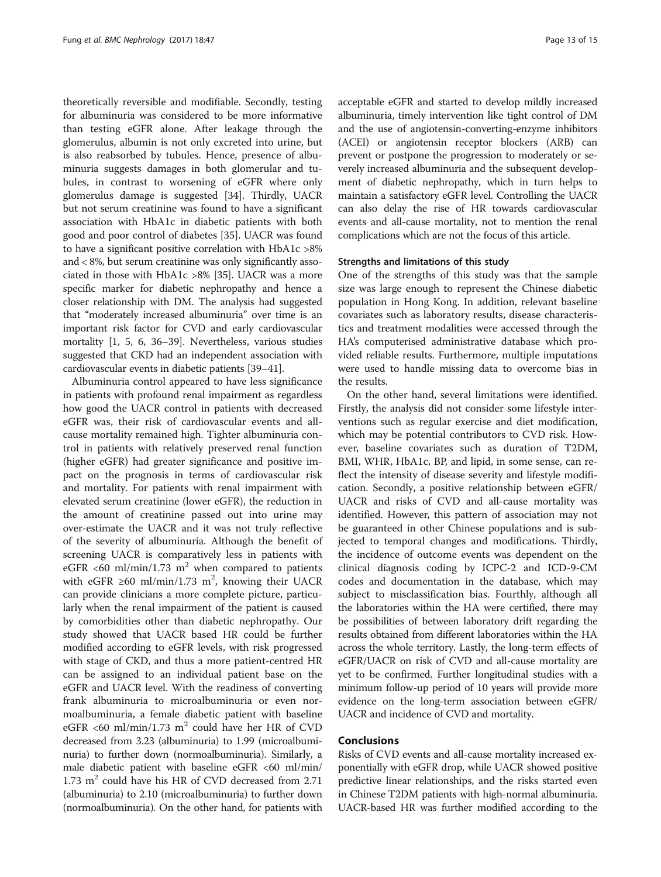theoretically reversible and modifiable. Secondly, testing for albuminuria was considered to be more informative than testing eGFR alone. After leakage through the glomerulus, albumin is not only excreted into urine, but is also reabsorbed by tubules. Hence, presence of albuminuria suggests damages in both glomerular and tubules, in contrast to worsening of eGFR where only glomerulus damage is suggested [\[34](#page-14-0)]. Thirdly, UACR but not serum creatinine was found to have a significant association with HbA1c in diabetic patients with both good and poor control of diabetes [[35\]](#page-14-0). UACR was found to have a significant positive correlation with HbA1c >8% and < 8%, but serum creatinine was only significantly associated in those with HbA1c >8% [[35](#page-14-0)]. UACR was a more specific marker for diabetic nephropathy and hence a closer relationship with DM. The analysis had suggested that "moderately increased albuminuria" over time is an important risk factor for CVD and early cardiovascular mortality [\[1, 5, 6](#page-13-0), [36](#page-14-0)–[39](#page-14-0)]. Nevertheless, various studies suggested that CKD had an independent association with cardiovascular events in diabetic patients [\[39](#page-14-0)–[41](#page-14-0)].

Albuminuria control appeared to have less significance in patients with profound renal impairment as regardless how good the UACR control in patients with decreased eGFR was, their risk of cardiovascular events and allcause mortality remained high. Tighter albuminuria control in patients with relatively preserved renal function (higher eGFR) had greater significance and positive impact on the prognosis in terms of cardiovascular risk and mortality. For patients with renal impairment with elevated serum creatinine (lower eGFR), the reduction in the amount of creatinine passed out into urine may over-estimate the UACR and it was not truly reflective of the severity of albuminuria. Although the benefit of screening UACR is comparatively less in patients with eGFR <60 ml/min/1.73 m<sup>2</sup> when compared to patients with eGFR ≥60 ml/min/1.73 m<sup>2</sup>, knowing their UACR can provide clinicians a more complete picture, particularly when the renal impairment of the patient is caused by comorbidities other than diabetic nephropathy. Our study showed that UACR based HR could be further modified according to eGFR levels, with risk progressed with stage of CKD, and thus a more patient-centred HR can be assigned to an individual patient base on the eGFR and UACR level. With the readiness of converting frank albuminuria to microalbuminuria or even normoalbuminuria, a female diabetic patient with baseline eGFR <60 ml/min/1.73 m<sup>2</sup> could have her HR of CVD decreased from 3.23 (albuminuria) to 1.99 (microalbuminuria) to further down (normoalbuminuria). Similarly, a male diabetic patient with baseline eGFR <60 ml/min/ 1.73  $m<sup>2</sup>$  could have his HR of CVD decreased from 2.71 (albuminuria) to 2.10 (microalbuminuria) to further down (normoalbuminuria). On the other hand, for patients with acceptable eGFR and started to develop mildly increased albuminuria, timely intervention like tight control of DM and the use of angiotensin-converting-enzyme inhibitors (ACEI) or angiotensin receptor blockers (ARB) can prevent or postpone the progression to moderately or severely increased albuminuria and the subsequent development of diabetic nephropathy, which in turn helps to maintain a satisfactory eGFR level. Controlling the UACR can also delay the rise of HR towards cardiovascular events and all-cause mortality, not to mention the renal complications which are not the focus of this article.

### Strengths and limitations of this study

One of the strengths of this study was that the sample size was large enough to represent the Chinese diabetic population in Hong Kong. In addition, relevant baseline covariates such as laboratory results, disease characteristics and treatment modalities were accessed through the HA's computerised administrative database which provided reliable results. Furthermore, multiple imputations were used to handle missing data to overcome bias in the results.

On the other hand, several limitations were identified. Firstly, the analysis did not consider some lifestyle interventions such as regular exercise and diet modification, which may be potential contributors to CVD risk. However, baseline covariates such as duration of T2DM, BMI, WHR, HbA1c, BP, and lipid, in some sense, can reflect the intensity of disease severity and lifestyle modification. Secondly, a positive relationship between eGFR/ UACR and risks of CVD and all-cause mortality was identified. However, this pattern of association may not be guaranteed in other Chinese populations and is subjected to temporal changes and modifications. Thirdly, the incidence of outcome events was dependent on the clinical diagnosis coding by ICPC-2 and ICD-9-CM codes and documentation in the database, which may subject to misclassification bias. Fourthly, although all the laboratories within the HA were certified, there may be possibilities of between laboratory drift regarding the results obtained from different laboratories within the HA across the whole territory. Lastly, the long-term effects of eGFR/UACR on risk of CVD and all-cause mortality are yet to be confirmed. Further longitudinal studies with a minimum follow-up period of 10 years will provide more evidence on the long-term association between eGFR/ UACR and incidence of CVD and mortality.

### Conclusions

Risks of CVD events and all-cause mortality increased exponentially with eGFR drop, while UACR showed positive predictive linear relationships, and the risks started even in Chinese T2DM patients with high-normal albuminuria. UACR-based HR was further modified according to the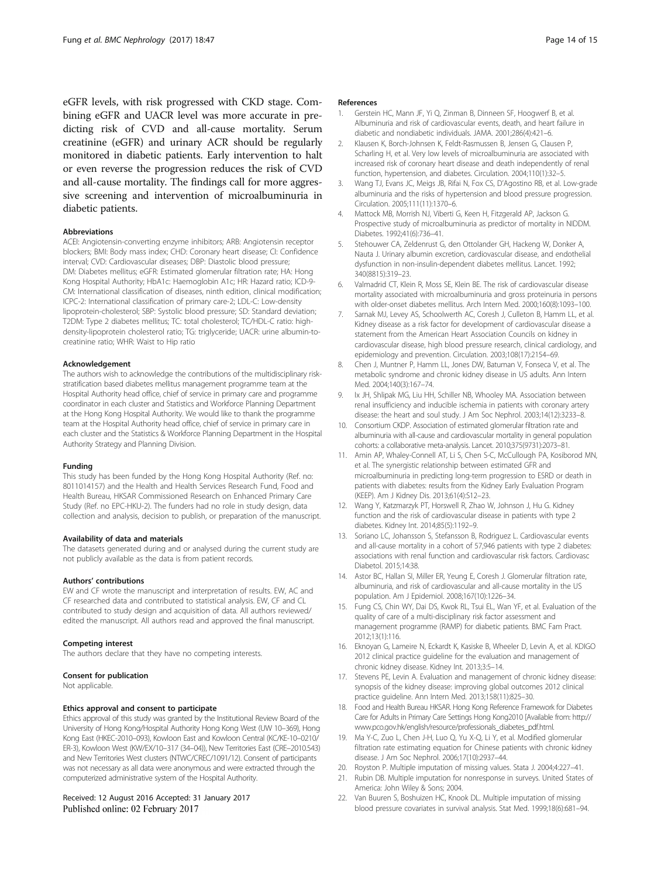<span id="page-13-0"></span>eGFR levels, with risk progressed with CKD stage. Combining eGFR and UACR level was more accurate in predicting risk of CVD and all-cause mortality. Serum creatinine (eGFR) and urinary ACR should be regularly monitored in diabetic patients. Early intervention to halt or even reverse the progression reduces the risk of CVD and all-cause mortality. The findings call for more aggressive screening and intervention of microalbuminuria in diabetic patients.

#### Abbreviations

ACEI: Angiotensin-converting enzyme inhibitors; ARB: Angiotensin receptor blockers; BMI: Body mass index; CHD: Coronary heart disease; CI: Confidence interval; CVD: Cardiovascular diseases; DBP: Diastolic blood pressure; DM: Diabetes mellitus; eGFR: Estimated glomerular filtration rate; HA: Hong Kong Hospital Authority; HbA1c: Haemoglobin A1c; HR: Hazard ratio; ICD-9- CM: International classification of diseases, ninth edition, clinical modification; ICPC-2: International classification of primary care-2; LDL-C: Low-density lipoprotein-cholesterol; SBP: Systolic blood pressure; SD: Standard deviation; T2DM: Type 2 diabetes mellitus; TC: total cholesterol; TC/HDL-C ratio: highdensity-lipoprotein cholesterol ratio; TG: triglyceride; UACR: urine albumin-tocreatinine ratio; WHR: Waist to Hip ratio

#### Acknowledgement

The authors wish to acknowledge the contributions of the multidisciplinary riskstratification based diabetes mellitus management programme team at the Hospital Authority head office, chief of service in primary care and programme coordinator in each cluster and Statistics and Workforce Planning Department at the Hong Kong Hospital Authority. We would like to thank the programme team at the Hospital Authority head office, chief of service in primary care in each cluster and the Statistics & Workforce Planning Department in the Hospital Authority Strategy and Planning Division.

#### Funding

This study has been funded by the Hong Kong Hospital Authority (Ref. no: 8011014157) and the Health and Health Services Research Fund, Food and Health Bureau, HKSAR Commissioned Research on Enhanced Primary Care Study (Ref. no EPC-HKU-2). The funders had no role in study design, data collection and analysis, decision to publish, or preparation of the manuscript.

#### Availability of data and materials

The datasets generated during and or analysed during the current study are not publicly available as the data is from patient records.

#### Authors' contributions

EW and CF wrote the manuscript and interpretation of results. EW, AC and CF researched data and contributed to statistical analysis. EW, CF and CL contributed to study design and acquisition of data. All authors reviewed/ edited the manuscript. All authors read and approved the final manuscript.

#### Competing interest

The authors declare that they have no competing interests.

#### Consent for publication

Not applicable.

#### Ethics approval and consent to participate

Ethics approval of this study was granted by the Institutional Review Board of the University of Hong Kong/Hospital Authority Hong Kong West (UW 10–369), Hong Kong East (HKEC-2010–093), Kowloon East and Kowloon Central (KC/KE-10–0210/ ER-3), Kowloon West (KW/EX/10–317 (34–04)), New Territories East (CRE–2010.543) and New Territories West clusters (NTWC/CREC/1091/12). Consent of participants was not necessary as all data were anonymous and were extracted through the computerized administrative system of the Hospital Authority.

#### Received: 12 August 2016 Accepted: 31 January 2017 Published online: 02 February 2017

#### References

- Gerstein HC, Mann JF, Yi Q, Zinman B, Dinneen SF, Hoogwerf B, et al. Albuminuria and risk of cardiovascular events, death, and heart failure in diabetic and nondiabetic individuals. JAMA. 2001;286(4):421–6.
- 2. Klausen K, Borch-Johnsen K, Feldt-Rasmussen B, Jensen G, Clausen P, Scharling H, et al. Very low levels of microalbuminuria are associated with increased risk of coronary heart disease and death independently of renal function, hypertension, and diabetes. Circulation. 2004;110(1):32–5.
- 3. Wang TJ, Evans JC, Meigs JB, Rifai N, Fox CS, D'Agostino RB, et al. Low-grade albuminuria and the risks of hypertension and blood pressure progression. Circulation. 2005;111(11):1370–6.
- 4. Mattock MB, Morrish NJ, Viberti G, Keen H, Fitzgerald AP, Jackson G. Prospective study of microalbuminuria as predictor of mortality in NIDDM. Diabetes. 1992;41(6):736–41.
- 5. Stehouwer CA, Zeldenrust G, den Ottolander GH, Hackeng W, Donker A, Nauta J. Urinary albumin excretion, cardiovascular disease, and endothelial dysfunction in non-insulin-dependent diabetes mellitus. Lancet. 1992; 340(8815):319–23.
- 6. Valmadrid CT, Klein R, Moss SE, Klein BE. The risk of cardiovascular disease mortality associated with microalbuminuria and gross proteinuria in persons with older-onset diabetes mellitus. Arch Intern Med. 2000;160(8):1093–100.
- 7. Sarnak MJ, Levey AS, Schoolwerth AC, Coresh J, Culleton B, Hamm LL, et al. Kidney disease as a risk factor for development of cardiovascular disease a statement from the American Heart Association Councils on kidney in cardiovascular disease, high blood pressure research, clinical cardiology, and epidemiology and prevention. Circulation. 2003;108(17):2154–69.
- 8. Chen J, Muntner P, Hamm LL, Jones DW, Batuman V, Fonseca V, et al. The metabolic syndrome and chronic kidney disease in US adults. Ann Intern Med. 2004;140(3):167–74.
- 9. Ix JH, Shlipak MG, Liu HH, Schiller NB, Whooley MA. Association between renal insufficiency and inducible ischemia in patients with coronary artery disease: the heart and soul study. J Am Soc Nephrol. 2003;14(12):3233–8.
- 10. Consortium CKDP. Association of estimated glomerular filtration rate and albuminuria with all-cause and cardiovascular mortality in general population cohorts: a collaborative meta-analysis. Lancet. 2010;375(9731):2073–81.
- 11. Amin AP, Whaley-Connell AT, Li S, Chen S-C, McCullough PA, Kosiborod MN, et al. The synergistic relationship between estimated GFR and microalbuminuria in predicting long-term progression to ESRD or death in patients with diabetes: results from the Kidney Early Evaluation Program (KEEP). Am J Kidney Dis. 2013;61(4):S12–23.
- 12. Wang Y, Katzmarzyk PT, Horswell R, Zhao W, Johnson J, Hu G. Kidney function and the risk of cardiovascular disease in patients with type 2 diabetes. Kidney Int. 2014;85(5):1192–9.
- 13. Soriano LC, Johansson S, Stefansson B, Rodriguez L. Cardiovascular events and all-cause mortality in a cohort of 57,946 patients with type 2 diabetes: associations with renal function and cardiovascular risk factors. Cardiovasc Diabetol. 2015;14:38.
- 14. Astor BC, Hallan SI, Miller ER, Yeung E, Coresh J. Glomerular filtration rate, albuminuria, and risk of cardiovascular and all-cause mortality in the US population. Am J Epidemiol. 2008;167(10):1226–34.
- 15. Fung CS, Chin WY, Dai DS, Kwok RL, Tsui EL, Wan YF, et al. Evaluation of the quality of care of a multi-disciplinary risk factor assessment and management programme (RAMP) for diabetic patients. BMC Fam Pract. 2012;13(1):116.
- 16. Eknoyan G, Lameire N, Eckardt K, Kasiske B, Wheeler D, Levin A, et al. KDIGO 2012 clinical practice guideline for the evaluation and management of chronic kidney disease. Kidney Int. 2013;3:5–14.
- 17. Stevens PE, Levin A. Evaluation and management of chronic kidney disease: synopsis of the kidney disease: improving global outcomes 2012 clinical practice guideline. Ann Intern Med. 2013;158(11):825–30.
- 18. Food and Health Bureau HKSAR. Hong Kong Reference Framework for Diabetes Care for Adults in Primary Care Settings Hong Kong2010 [Available from: [http://](http://www.pco.gov.hk/english/resource/professionals_diabetes_pdf.html) [www.pco.gov.hk/english/resource/professionals\\_diabetes\\_pdf.html.](http://www.pco.gov.hk/english/resource/professionals_diabetes_pdf.html)
- 19. Ma Y-C, Zuo L, Chen J-H, Luo Q, Yu X-Q, Li Y, et al. Modified glomerular filtration rate estimating equation for Chinese patients with chronic kidney disease. J Am Soc Nephrol. 2006;17(10):2937–44.
- 20. Royston P. Multiple imputation of missing values. Stata J. 2004;4:227–41.
- 21. Rubin DB. Multiple imputation for nonresponse in surveys. United States of America: John Wiley & Sons; 2004.
- 22. Van Buuren S, Boshuizen HC, Knook DL. Multiple imputation of missing blood pressure covariates in survival analysis. Stat Med. 1999;18(6):681–94.